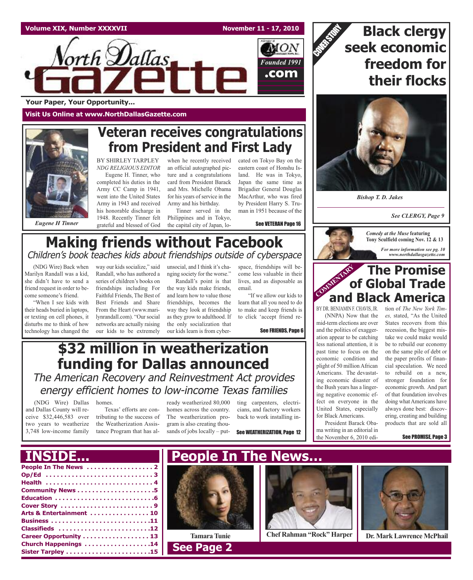



**Your Paper, Your Opportunity...**

**Visit Us Online at www.NorthDallasGazette.com**

## **Veteran receives congratulations from President and First Lady**

BY SHIRLEY TARPLEY *NDG RELIGIOUS EDITOR*

Eugene H. Tinner, who completed his duties in the Army CC Camp in 1941, went into the United States Army in 1943 and received his honorable discharge in 1948. Recently Tinner felt grateful and blessed of God

when he recently received an official autographed picture and a congratulations card from President Barack and Mrs. Michelle Obama for his years of service in the Army and his birthday.

Tinner served in the Philippines and in Tokyo, the capital city of Japan, lo-

cated on Tokyo Bay on the eastern coast of Honshu Island. He was in Tokyo, Japan the same time as Brigadier General Douglas MacArthur, who was fired by President Harry S. Truman in 1951 because of the

See VETERAN Page 16

## **Making friends without Facebook** Children's book teaches kids about friendships outside of cyberspace

(NDG Wire) Back when Marilyn Randall was a kid, she didn't have to send a friend request in order to become someone's friend.

*Eugene H Tinner*

"When I see kids with their heads buried in laptops, or texting on cell phones, it disturbs me to think of how technology has changed the

way our kids socialize," said Randall, who has authored a series of children's books on friendships including For Faithful Friends, The Best of Best Friends and Share From the Heart (www.marilynrandall.com). "Our social networks are actually raising our kids to be extremely

unsocial, and I think it's changing society for the worse."

Randall's point is that the way kids make friends, and learn how to value those friendships, becomes the way they look at friendship as they grow to adulthood. If the only socialization that our kids learn is from cyber-

space, friendships will become less valuable in their lives, and as disposable as email.

"If we allow our kids to learn that all you need to do to make and keep friends is to click 'accept friend re-

See FRIENDS, Page 6

## **\$32 million in weatherization funding for Dallas announced**

The American Recovery and Reinvestment Act provides energy efficient homes to low-income Texas families

(NDG Wire) Dallas and Dallas County will receive \$32,446,583 over two years to weatherize 3,748 low-income family

homes. Texas' efforts are contributing to the success of the Weatherization Assistance Program that has al-

ready weatherized 80,000 homes across the country. The weatherization program is also creating thousands of jobs locally – put-

ting carpenters, electricians, and factory workers back to work installing in-

See WEATHERIZATION, Page 12







*Bishop T. D. Jakes*

*See CLERGY, Page 9*



### **COMMENTARY The Promise of Global Trade and Black America**

(NNPA) Now that the mid-term elections are over and the politics of exaggeration appear to be catching less national attention, it is past time to focus on the economic condition and plight of 50 million African Americans. The devastating economic disaster of the Bush years has a lingering negative economic effect on everyone in the United States, especially for Black Americans.

President Barack Obama writing in an editorial in the November 6, 2010 edi-

BY DR. BENJAMIN F. CHAVIS, JR. tion of *The New York Times,* stated, "As the United States recovers from this recession, the biggest mistake we could make would be to rebuild our economy on the same pile of debt or the paper profits of financial speculation. We need to rebuild on a new, stronger foundation for economic growth. And part of that foundation involves doing what Americans have always done best: discovering, creating and building products that are sold all

See PROMISE, Page 3

## **INSIDE... People In The News…**

| Arts & Entertainment  10 |
|--------------------------|
|                          |
| Classifieds 12           |
| Career Opportunity 13    |
| Church Happenings 14     |
|                          |
|                          |



**See Page 2** 



**TamaraTunie Chef Rahman "Rock" Harper Dr. Mark Lawrence McPhail**

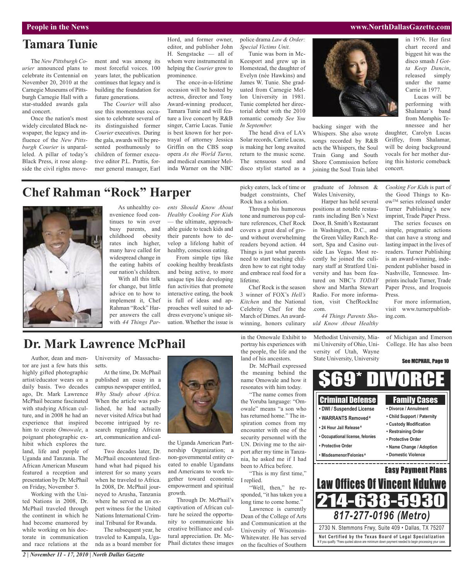### **Tamara Tunie**

The *New Pittsburgh Courier* announced plans to celebrate its Centennial on November 20, 2010 at the Carnegie Museums of Pittsburgh Carnegie Hall with a star-studded awards gala and concert.

Once the nation's most widely circulated Black newspaper, the legacy and influence of the *New Pittsburgh Courier* is unparalleled. A pillar of today's Black Press, it rose alongside the civil rights movement and was among its most forceful voices. 100 years later, the publication continues that legacy and is building the foundation for future generations.

The *Courier* will also use this momentous occasion to celebrate several of its distinguished former *Courier* executives. During the gala, awards will be presented posthumously to children of former executive editor P.L. Prattis, former general manager, Earl

Hord, and former owner, editor, and publisher John H. Sengstacke — all of whom were instrumental in helping the *Courier* grow to prominence.

The once-in-a-lifetime occasion will be hosted by actress, director and Tony Award-winning producer, Tamara Tunie and will feature a live concert by R&B singer, Carrie Lucas. Tunie is best known for her portrayal of attorney Jessica Griffin on the CBS soap opera *As the World Turns,* and medical examiner Melinda Warner on the NBC police drama *Law & Order: Special Victims Unit.*

Tunie was born in Mc-Keesport and grew up in Homestead, the daughter of Evelyn (née Hawkins) and James W. Tunie. She graduated from Carnegie Mellon University in 1981. Tunie completed her directorial debut with the 2010 romantic comedy *See You In September.*

The head diva of LA's Solar records, Carrie Lucas, is making her long awaited return to the music scene. The sensuous soul and disco stylist started as a

> graduate of Johnson & Wales University,

backing singer with the Whispers. She also wrote songs recorded by R&B acts the Whispers, the Soul Train Gang and South Shore Commission before joining the Soul Train label

Harper has held several positions at notable restaurants including Ben's Next Door, B. Smith's Restaurant in Washington, D.C., and the Green Valley Ranch Resort, Spa and Casino outside Las Vegas. Most recently he joined the culinary staff at Stratford University and has been featured on NBC's *TODAY* show and Martha Stewart Radio. For more information, visit ChefRockInc .com.

*44 Things Parents Should Know About Healthy*

Paper Press, and Iroquois Press. For more information, visit www.turnerpublishing.com.

of Michigan and Emerson

**People in the News www.NorthDallasGazette.com**

in 1976. Her first chart record and biggest hit was the disco smash *I Gotta Keep Dancin*, released simply under the name Carrie in 1977.

Lucas will be performing with Shalamar's band from Memphis Tennessee and her

daughter, Carolyn Lucas Griffey, from Shalamar, will be doing background vocals for her mother during this historic comeback concert.

*Cooking For Kid*s is part of the Good Things to KnowTM series released under Turner Publishing's new imprint, Trade Paper Press. The series focuses on simple, pragmatic actions that can have a strong and lasting impact in the lives of readers. Turner Publishing is an award-winning, independent publisher based in Nashville, Tennessee. Imprints include Turner, Trade

College. He has also been

See MCPHAIL, Page 10

# **Chef Rahman "Rock" Harper**



As unhealthy convenience food continues to win over busy parents, and childhood obesity rates inch higher, many have called for widespread change in the eating habits of our nation's children. With all this talk

for change, but little advice on to how to implement it, Chef Rahman "Rock" Harper answers the call with *44 Things Par-* *ents Should Know About Healthy Cooking For Kid*s — the ultimate, approachable guide to teach kids and their parents how to develop a lifelong habit of healthy, conscious eating.

From simple tips like cooking healthy breakfasts and being active, to more unique tips like developing fun activities that promote interactive eating, the book is full of ideas and approaches well suited to address everyone's unique situation. Whether the issue is budget constraints, Chef Rock has a solution. Through his humorous

picky eaters, lack of time or

tone and numerous pop culture references, Chef Rock covers a great deal of ground without overwhelming readers beyond action. 44 Things is just what parents need to start teaching children how to eat right today and embrace real food for a lifetime.

Chef Rock is the season 3 winner of FOX's *Hell's Kitchen* and the National Celebrity Chef for the March of Dimes. An awardwinning, honors culinary

### **Dr. Mark Lawrence McPhail**

Author, dean and mentor are just a few hats this highly gifted photographic artist/educator wears on a daily basis. Two decades ago, Dr. Mark Lawrence McPhail became fascinated with studying African culture, and in 2008 he had an experience that inspired him to create *Omowale*, a poignant photographic exhibit which explores the land, life and people of Uganda and Tanzania. The African American Museum featured a reception and presentation by Dr. McPhail on Friday, November 5.

Working with the United Nations in 2008, Dr. McPhail traveled through the continent in which he had become enamored by while working on his doctorate in communication and race relations at the

*2 | November 11 - 17, 2010 | North Dallas Gazette*

University of Massachusetts.

At the time, Dr. McPhail published an essay in a campus newspaper entitled, *Why Study about Africa.* When the article was published, he had actually never visited Africa but had become intrigued by research regarding African art, communication and culture.

Two decades later, Dr. McPhail encountered firsthand what had piqued his interest for so many years when he traveled to Africa. In 2008, Dr. McPhail journeyed to Arusha, Tanzania where he served as an expert witness for the United Nations International Criminal Tribunal for Rwanda.

The subsequent year, he traveled to Kampala, Uganda as a board member for



the Uganda American Partnership Organization; a non-governmental entity created to enable Ugandans and Americans to work together toward economic empowerment and spiritual growth.

Through Dr. McPhail's captivation of African culture he seized the opportunity to communicate his creative brilliance and cultural appreciation. Dr. Mc-Phail dictates these images

in the Omowale Exhibit to portray his experiences with the people, the life and the land of his ancestors.

Dr. McPhail expressed the meaning behind the name Omowale and how it resonates with him today.

"The name comes from the Yoruba language: "Omowale" means "a son who has returned home." The inspiration comes from my encounter with one of the security personnel with the UN. Driving me to the airport after my time in Tanzania, he asked me if I had been to Africa before.

"This is my first time," I replied. 'Well, then," he re-

sponded, "it has taken you a long time to come home."

Lawrence is currently Dean of the College of Arts and Communication at the University of Wisconsin-Whitewater. He has served on the faculties of Southern Methodist University, Miami University of Ohio, University of Utah, Wayne State University, University

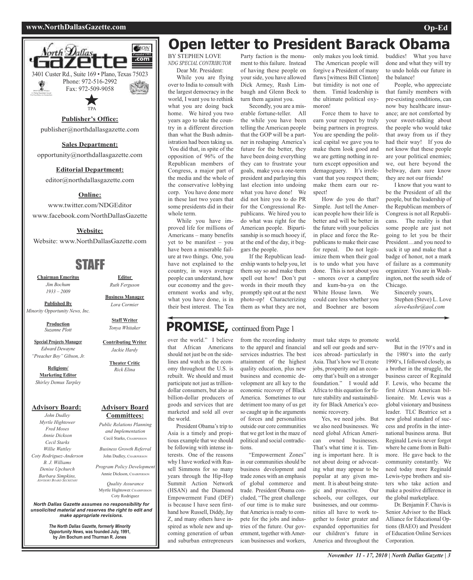#### **www.NorthDallasGazette.com Op-Ed**





### **Publisher's Office:**

publisher@northdallasgazette.com

#### **Sales Department:**

opportunity@northdallasgazette.com

#### **Editorial Department:**

editor@northdallasgazette.com

#### **Online:**

www.twitter.com/NDGEditor www.facebook.com/NorthDallasGazette

#### **Website:**

Website: www.NorthDallasGazette.com

## STAFF

**Chairman Emeritus** *Jim Bochum 1933 – 2009*

**Published By** *Minority Opportunity News, Inc.*

> **Production** *Suzanne Plott*

**Special Projects Manager** *Edward Dewayne*

*"Preacher Boy" Gibson, Jr.*

**Religious/ Marketing Editor** *Shirley Demus Tarpley*

**Advisory Board:**

*John Dudley Myrtle Hightower Fred Moses Annie Dickson Cecil Starks Willie Wattley Coty Rodriguez-Anderson B. J. Williams Denise Upchurch Barbara Simpkins, ADVISORY BOARD SECRETARY*

*North Dallas Gazette assumes no responsibility for unsolicited material and reserves the right to edit and make appropriate revisions.*

> *The North Dallas Gazette, formerly Minority Opportunity News,* **was founded July, 1991, by Jim Bochum and Thurman R. Jones**

# **Open letter to President Barack Obama**

BY STEPHEN LOVE *NDG SPECIAL CONTRIBUTOR* Dear Mr. President:

While you are flying over to India to consult with the largest democracy in the world, I want you to rethink what you are doing back home. We hired you two years ago to take the country in a different direction than what the Bush administration had been taking us. You did that, in spite of the opposition of 96% of the Republican members of Congress, a major part of the media and the whole of the conservative lobbying corp. You have done more in these last two years that some presidents did in their whole term.

While you have improved life for millions of Americans – many benefits yet to be manifest – you have been a miserable failure at two things. One, you have not explained to the country, in ways average people can understand, how our economy and the government works and why, what you have done, is in their best interest. The Tea

Party faction is the monument to this failure. Instead of having these people on your side, you have allowed Dick Armey, Rush Limbaugh and Glenn Beck to turn them against you.

Secondly, you are a miserable fortune-teller. All the while you have been telling the American people that the GOP will be a partner in reshaping America's future for the better, they have been doing everything they can to frustrate your goals, make you a one-term president and parlaying this last election into undoing what you have done! We did not hire you to do PR for the Congressional Republicans. We hired you to do what was right for the American people. Bipartisanship is so much hooey if, at the end of the day, it beggars the people.

If the Republican leadership wants to help you, let them say so and make them spell out how! Don't put words in their mouth they promptly spit out at the next photo-op! Characterizing them as what they are not,

only makes you look timid. The American people will forgive a President of many flaws [witness Bill Clinton] but timidity is not one of them. Timid leadership is the ultimate political oxymoron!

Force them to have to earn your respect by truly being partners in progress. You are spending the political capital we gave you to make them look good and we are getting nothing in return except opposition and demagoguery. It's irrelevant that you respect them; make them earn our respect!

How do you do that? Simple. Just tell the American people how their life is better and will be better in the future with your policies in place and force the Republicans to make their case for repeal. Do not legitimize them when their goal is to undo what you have done. This is not about you smores over a campfire and kum-ba-ya on the White House lawn. We could care less whether you and Boehner are bosom buddies! What you have done and what they will try to undo holds our future in the balance!

People, who appreciate that family members with pre-existing conditions, can now buy healthcare insurance; are not comforted by your sweet-talking about the people who would take that away from us if they had their way! If you do not know that these people are your political enemies; we, out here beyond the beltway, darn sure know they are not our friends!

I know that you want to be the President of all the people, but the leadership of the Republican members of Congress is not all Republicans. The reality is that some people are just not going to let you be their President…and you need to suck it up and make that a badge of honor, not a mark of failure as a community organizer. You are in Washington, not the south side of Chicago.

> Sincerely yours, Stephen (Steve) L. Love *slove4ushr@aol.com*

## **PROMISE**, continued from Page 1

over the world." I believe that African Americans should not just be on the sidelines and watch as the economy throughout the U.S. is rebuilt. We should and must participate not just as trilliondollar consumers, but also as billion-dollar producers of goods and services that are marketed and sold all over the world.

President Obama's trip to Asia is a timely and propitious example that we should be following with intense interests. One of the reasons why I have worked with Russell Simmons for so many years through the Hip-Hop Summit Action Network (HSAN) and the Diamond Empowerment Fund (DEF) is because I have seen firsthand how Russell, Diddy, Jay Z, and many others have inspired as whole new and upcoming generation of urban and suburban entrepreneurs

from the recording industry to the apparel and financial services industries. The best attainment of the highest quality education, plus new business and economic development are all key to the economic recovery of Black America. Sometimes to our detriment too many of us get so caught up in the arguments of forces and personalities outside our core communities that we get lost in the maze of political and social contradictions.

"Empowerment Zones" in our communities should be business development and trade zones with an emphasis of global commerce and trade. President Obama concluded, "The great challenge of our time is to make sure that America is ready to compete for the jobs and industries of the future. Our government, together with American businesses and workers,

must take steps to promote and sell our goods and services abroad- particularly in Asia. That's how we'll create jobs, prosperity and an economy that's built on a stronger foundation." I would add Africa to this equation for future stability and sustainability for Black America's economic recovery.

Yes, we need jobs. But we also need businesses. We need global African American owned businesses. That's what time it is. Timing is important here. It is not about doing or advocating what may appear to be popular at any given moment. It is about being strategic and proactive. Our schools, our colleges, our businesses, and our communities all have to work together to foster greater and expanded opportunities for our children's future in America and throughout the

world.

But in the 1970's and in the 1980's into the early 1990's, I followed closely, as a brother in the struggle, the business career of Reginald F. Lewis, who became the first African American billionaire. Mr. Lewis was a global visionary and business leader. TLC Beatrice set a new global standard of success and profits in the international business arena. But Reginald Lewis never forgot where he came from in Baltimore. He gave back to the community constantly. We need today more Reginald Lewis-type brothers and sisters who take action and make a positive difference in the global marketplace.

Dr. Benjamin F. Chavis is Senior Advisor to the Black Alliance for Educational Options (BAEO) and President of Education Online Services Corporation.

### **Editor** *Ruth Ferguson* **Business Manager**

*Lora Cormier*

**Staff Writer** *Tonya Whitaker*

**Contributing Writer** *Jackie Hardy*

> **Theater Critic** *Rick Elina*

**Advisory Board Committees:**

*Public Relations Planning and Implementation* Cecil Starks, CHAIRPERSON *Business Growth Referral* John Dudley, CHAIRPERSON *Program Policy Development* Annie Dickson, CHAIRPERSON *Quality Assurance* Myrtle Hightower, CHAIRPERSON Coty Rodriguez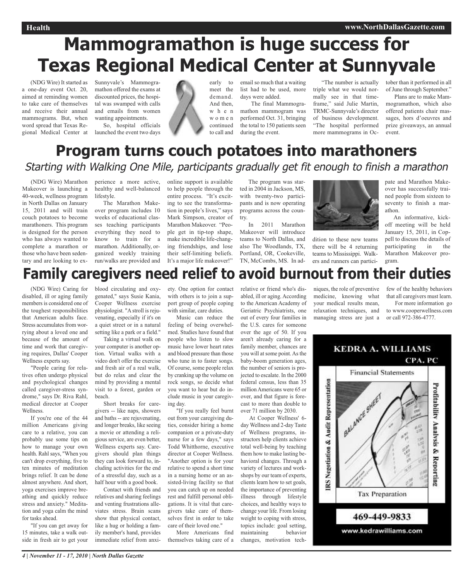# **Mammogramathon is huge success for Texas Regional Medical Center at Sunnyvale**

(NDG Wire) It started as a one-day event Oct. 20, aimed at reminding women to take care of themselves and receive their annual mammograms. But, when word spread that Texas Regional Medical Center at

Sunnyvale's Mammogramathon offered the exams at discounted prices, the hospital was swamped with calls and emails from women wanting appointments.

So, hospital officials launched the event two days



email so much that a waiting list had to be used, more days were added.

The final Mammogramathon mammogram was performed Oct. 31, bringing the total to 150 patients seen during the event.

"The number is actually triple what we would normally see in that timeframe," said Julie Martin, TRMC-Sunnyvale's director of business development. "The hospital performed more mammograms in Oc-

tober than it performed in all of June through September."

Plans are to make Mammogramathon, which also offered patients chair massages, hors d'oeuvres and prize giveaways, an annual event.

## **Program turns couch potatoes into marathoners** Starting with Walking One Mile, participants gradually get fit enough to finish <sup>a</sup> marathon

(NDG Wire) Marathon Makeover is launching a 40-week, wellness program in North Dallas on January 15, 2011 and will train couch potatoes to become marathoners. This program is designed for the person who has always wanted to complete a marathon or those who have been sedentary and are looking to ex-

perience a more active, healthy and well-balanced lifestyle.

The Marathon Makeover program includes 10 weeks of educational classes teaching participants everything they need to know to train for a marathon. Additionally, organized weekly training run/walks are provided and online support is available to help people through the entire process. "It's exciting to see the transformation in people's lives," says Mark Simpson, creator of Marathon Makeover. "People get in tip-top shape, make incredible life-changing friendships, and lose their self-limiting beliefs. It's a major life makeover!"

The program was started in 2004 in Jackson, MS, with twenty-two participants and is now operating programs across the country.

In 2011 Marathon Makeover will introduce teams to North Dallas, and also The Woodlands, TX, Portland, OR, Cookeville, TN, McCombs, MS. In ad-



dition to these new teams there will be 4 returning teams to Mississippi. Walkers and runners can partici-

pate and Marathon Makeover has successfully trained people from sixteen to seventy to finish a marathon.

An informative, kickoff meeting will be held January 15, 2011, in Coppell to discuss the details of participating in the Marathon Makeover program.

# **Family caregivers need relief to avoid burnout from their duties**

(NDG Wire) Caring for disabled, ill or aging family members is considered one of the toughest responsibilities that American adults face. Stress accumulates from worrying about a loved one and because of the amount of time and work that caregiving requires, Dallas' Cooper Wellness experts say.

"People caring for relatives often undergo physical and psychological changes called caregiver-stress syndrome," says Dr. Riva Rahl, medical director at Cooper Wellness.

If you're one of the 44 million Americans giving care to a relative, you can probably use some tips on how to manage your own health. Rahl says, "When you can't drop everything, five to ten minutes of meditation brings relief. It can be done almost anywhere. And short, yoga exercises improve breathing and quickly reduce stress and anxiety." Meditation and yoga calm the mind for tasks ahead.

"If you can get away for 15 minutes, take a walk outside in fresh air to get your blood circulating and oxygenated," says Susie Kania, Cooper Wellness exercise physiologist. "A stroll is rejuvenating, especially if it's on a quiet street or in a natural setting like a park or a field."

Taking a virtual walk on your computer is another option. Virtual walks with a video don't offer the exercise and fresh air of a real walk, but do relax and clear the mind by providing a mental visit to a forest, garden or beach.

Short breaks for caregivers -- like naps, showers and baths -- are rejuvenating, and longer breaks, like seeing a movie or attending a religious service, are even better, Wellness experts say. Caregivers should plan things they can look forward to, including activities for the end of a stressful day, such as a half hour with a good book.

Contact with friends and relatives and sharing feelings and venting frustrations alleviates stress. Brain scans show that physical contact, like a hug or holding a family member's hand, provides immediate relief from anxiety. One option for contact with others is to join a support group of people coping with similar, care duties.

Music can reduce the feeling of being overwhelmed. Studies have found that people who listen to slow music have lower heart rates and blood pressure than those who tune in to faster songs. Of course, some people relax by cranking up the volume on rock songs, so decide what you want to hear but do include music in your caregiving day.

"If you really feel burnt out from your caregiving duties, consider hiring a home companion or a private-duty nurse for a few days," says Todd Whitthorne, executive director at Cooper Wellness. "Another option is for your relative to spend a short time in a nursing home or an assisted-living facility so that you can catch up on needed rest and fulfill personal obligations. It is vital that caregivers take care of themselves first in order to take care of their loved one."

More Americans find themselves taking care of a

relative or friend who's disabled, ill or aging. According to the American Academy of Geriatric Psychiatrists, one out of every four families in the U.S. cares for someone over the age of 50. If you aren't already caring for a family member, chances are you will at some point. As the baby-boom generation ages, the number of seniors is projected to escalate. In the 2000 federal census, less than 35 million Americans were 65 or over, and that figure is forecast to more than double to over 71 million by 2030.

At Cooper Wellness' 6 day Wellness and 2-day Taste of Wellness programs, instructors help clients achieve total well-being by teaching them how to make lasting behavioral changes. Through a variety of lectures and workshops by our team of experts, clients learn how to set goals, the importance of preventing illness through lifestyle choices, and healthy ways to change your life. From losing weight to coping with stress, topics include: goal setting, maintaining behavior changes, motivation tech-

niques, the role of preventive medicine, knowing what your medical results mean, relaxation techniques, and managing stress are just a or call 972-386-4777.

few of the healthy behaviors that all caregivers must learn.

For more information go to www.cooperwellness.com

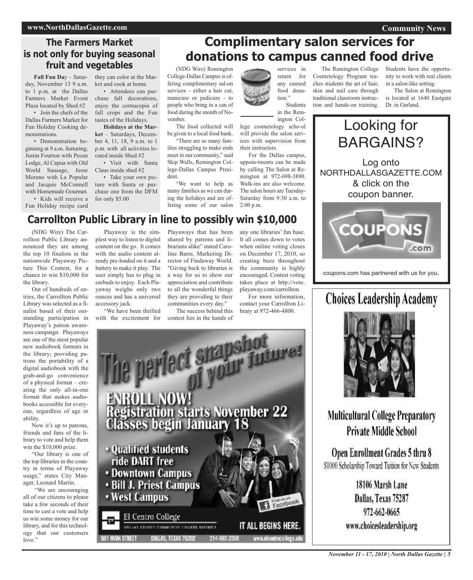#### **www.NorthDallasGazette.com**

#### **Community News**

### **The Farmers Market is not only for buying seasonal fruit and vegetables**

**Fall Fun Da**y – Saturday, November 13 9 a.m. to 1 p.m. at the Dallas Farmers Market Event Plaza located by Shed #2

• Join the chefs of the Dallas Farmers Market for Fun Holiday Cooking demonstrations.

• Demonstration beginning at 9 a.m. featuring, Justin Fourton with Pecan Lodge, Al Capua with Old World Sausage, Jesse Moreno with La Popular and Jacquie McConnell with Homemade Gourmet. • Kids will receive a Fun Holiday recipe card

they can color at the Market and cook at home.

• Attendees can purchase fall decorations, enjoy the cornucopia of fall crops and the Fun tastes of the Holidays.

**Holidays at the Market** – Saturdays, December 4, 11, 18, 9 a.m. to 1 p.m. with all activities located inside Shed #2 • Visit with Santa

Claus inside shed #2

• Take your own picture with Santa or purchase one from the DFM for only \$5.00

## **Complimentary salon services for donations to campus canned food drive**

(NDG Wire) Remington College-Dallas Campus is offering complimentary sal-on services – either a hair cut, manicure or pedicure - to people who bring in a can of food during the month of November.

The food collected will be given to a local food bank. "There are so many fam-

ilies struggling to make ends meet in our community," said Skip Walls, Remington College-Dallas Campus President.

"We want to help as many families as we can during the holidays and are offering some of our salon

services in return for any canned food donation.'

> Students in the Rem-

ington College cosmetology scho-ol will provide the salon services with supervision from their instructors.

For the Dallas campus, appoin-tments can be made by calling The Salon at Remington at 972-698-3890. Walk-ins are also welcome. The salon hours are Tuesday-Saturday from 9:30 a.m. to 2:00 p.m.

The Remington College Cosmetology Program teaches students the art of hair, skin and nail care through traditional classroom instruction and hands-on training. Students have the opportunity to work with real clients in a salon-like setting.

The Salon at Remington is located at 1640 Eastgate Dr. in Garland.



coupons.com has partnered with us for you.

## **Choices Leadership Academy**



**Multicultural College Preparatory Private Middle School** 

Open Enrollment Grades 5 thru 8 \$1000 Scholarship Toward Tuition for New Students

> 18106 Marsh Lane Dallas, Texas 75287 972-662-0665 www.choicesleadership.org

## **Carrollton Public Library in line to possibly win \$10,000**

(NDG Wire) The Carrollton Public Library announced they are among the top 10 finalists in the nationwide Playaway Picture This Contest, for a chance to win \$10,000 for the library.

Out of hundreds of entries, the Carrollton Public Library was selected as a finalist based of their outstanding participation in Playaway's patron awareness campaign. Playaways are one of the most popular new audiobook formats in the library; providing patrons the portability of a digital audiobook with the grab-and-go convenience of a physical format – creating the only all-in-one format that makes audiobooks accessible for everyone, regardless of age or ability.

Now it's up to patrons, friends and fans of the library to vote and help them win the \$10,000 prize.

"Our library is one of the top libraries in the country in terms of Playaway usage," states City Manager, Leonard Martin.

"We are encouraging all of our citizens to please take a few seconds of their time to cast a vote and help us win some money for our library, and for this technology that our customers love."

Playaway is the simplest way to listen to digital content on the go. It comes with the audio content already pre-loaded on it and a battery to make it play. The user simply has to plug in earbuds to enjoy. Each Playaway weighs only two ounces and has a universal accessory jack.

"We have been thrilled with the excitement for Playaways that has been shared by patrons and librarians alike" stated Caroline Barni, Marketing Director of Findaway World. "Giving back to libraries is a way for us to show our appreciation and contribute to all the wonderful things they are providing to their communities every day."

The success behind this contest lies in the hands of

any one libraries' fan base. It all comes down to votes when online voting closes on December 17, 2010, so creating buzz throughout the community is highly encouraged. Contest voting takes place at http://vote. playaway.com/carrollton.

For more information contact your Carrollton Library at 972-466-4800.

ENROLL NOW!<br>Registration starts November 22<br>Classes begin January 18

le periect suapsi

· Qualified students ride DART free • Downtown Campus

**• Bill J. Priest Campus** 

**· West Campus** 

El Centro College BALLAS COUNTY COMMUNITY COLLEGE DISTRICT DALLAS, TEXAS 75202 **MAIN STREET** 

Find us on<br>Facebook

214-860-2000

IT ALL BEGINS HERE

www.elcentrocollege.e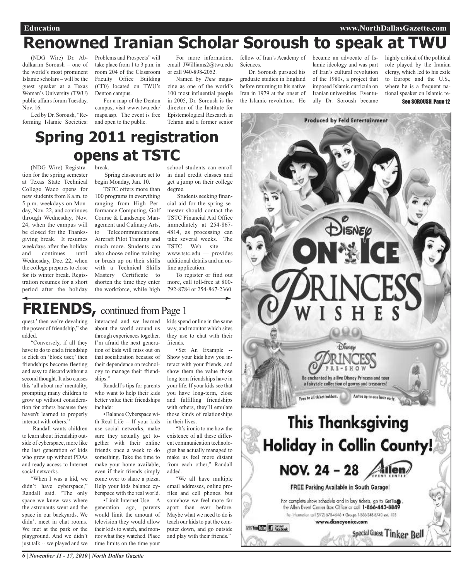# **Renowned Iranian Scholar Soroush to speak at TWU**

(NDG Wire) Dr. Abdulkarim Soroush – one of the world's most prominent Islamic scholars – will be the guest speaker at a Texas Woman's University (TWU) public affairs forum Tuesday, Nov. 16.

Led by Dr. Soroush, "Reforming Islamic Societies: Problems and Prospects" will take place from 1 to 3 p.m. in email JWilliams2@twu.edu room 204 of the Classroom Faculty Office Building (CF0) located on TWU's Denton campus.

For a map of the Denton campus, visit www.twu.edu/ maps.asp. The event is free and open to the public.

For more information, or call 940-898-2052.

Named by *Time* magazine as one of the world's 100 most influential people in 2005, Dr. Soroush is the director of the Institute for Epistemological Research in Tehran and a former senior

fellow of Iran's Academy of became an advocate of Is-**Sciences**.

Dr. Soroush pursued his graduate studies in England before returning to his native Iran in 1979 at the onset of the Islamic revolution. He

lamic ideology and was part of Iran's cultural revolution of the 1980s, a project that imposed Islamic curricula on Iranian universities. Eventually Dr. Soroush became

**Produced by Feld Entertainment** 

highly critical of the political role played by the Iranian clergy, which led to his exile to Europe and the U.S., where he is a frequent national speaker on Islamic re-See SOROUSH, Page 12

#### (NDG Wire) Registration for the spring semester at Texas State Technical College Waco opens for new students from 8 a.m. to 5 p.m. weekdays on Monday, Nov. 22, and continues through Wednesday, Nov. 24, when the campus will be closed for the Thanksbreak. Spring classes are set to begin Monday, Jan. 10. TSTC offers more than 100 programs in everything ranging from High Performance Computing, Golf Course & Landscape Management and Culinary Arts, to Telecommunications, school students can enroll in dual credit classes and get a jump on their college degree. Students seeking financial aid for the spring semester should contact the TSTC Financial Aid Office immediately at 254-867- 4814, as processing can **Spring 2011 registration opens at TSTC**

take several weeks. The TSTC Web site www.tstc.edu — provides additional details and an online application.

To register or find out more, call toll-free at 800- 792-8784 or 254-867-2360.

## **FRIENDS**, continued from Page 1

quest,' then we're devaluing the power of friendship," she added.

giving break. It resumes weekdays after the holiday and continues until Wednesday, Dec. 22, when the college prepares to close for its winter break. Registration resumes for a short period after the holiday

"Conversely, if all they have to do to end a friendship is click on 'block user,' then friendships become fleeting and easy to discard without a second thought. It also causes this 'all about me' mentality, prompting many children to grow up without consideration for others because they haven't learned to properly interact with others."

Randall wants children to learn about friendship outside of cyberspace, more like the last generation of kids who grew up without PDAs and ready access to Internet social networks.

"When I was a kid, we didn't have cyberspace," Randall said. "The only space we knew was where the astronauts went and the space in our backyards. We didn't meet in chat rooms. We met at the park or the playground. And we didn't just talk -- we played and we interacted and we learned about the world around us through experiences together. I'm afraid the next generation of kids will miss out on that socialization because of their dependence on technology to manage their friendships."

Aircraft Pilot Training and much more. Students can also choose online training or brush up on their skills with a Technical Skills Mastery Certificate to shorten the time they enter the workforce, while high

Randall's tips for parents who want to help their kids better value their friendships include:

•Balance Cyberspace with Real Life -- If your kids use social networks, make sure they actually get together with their online friends once a week to do something. Take the time to make your home available, even if their friends simply come over to share a pizza. Help your kids balance cyberspace with the real world.

•Limit Internet Use -- A generation ago, parents would limit the amount of television they would allow their kids to watch, and monitor what they watched. Place time limits on the time your

kids spend online in the same way, and monitor which sites they use to chat with their friends.

•Set An Example -- Show your kids how you interact with your friends, and show them the value those long term friendships have in your life. If your kids see that you have long-term, close and fulfilling friendships with others, they'll emulate those kinds of relationships in their lives.

"It's ironic to me how the existence of all these different communication technologies has actually managed to make us feel more distant from each other," Randall added.

"We all have multiple email addresses, online profiles and cell phones, but somehow we feel more far apart than ever before. Maybe what we need to do is teach our kids to put the computer down, and go outside and play with their friends."



*6 | November 11 - 17, 2010 | North Dallas Gazette*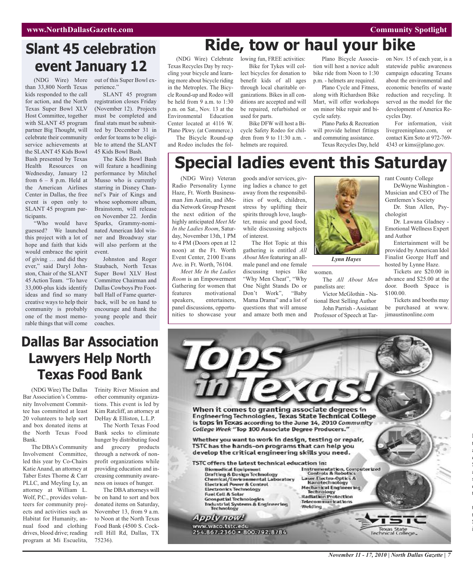#### **Community Spotlight**

## **Slant 45 celebration event January 12**

(NDG Wire) More than 33,800 North Texas kids responded to the call for action, and the North Texas Super Bowl XLV Host Committee, together with SLANT 45 program partner Big Thought, will celebrate their community service achievements at the SLANT 45 Kids Bowl Bash presented by Texas Health Resources on Wednesday, January 12 from  $6 - 8$  p.m. Held at the American Airlines Center in Dallas, the free event is open only to SLANT 45 program participants.

"Who would have guessed? We launched this project with a lot of hope and faith that kids would embrace the spirit of giving … and did they ever," said Daryl Johnston, Chair of the SLANT 45 Action Team. "To have 33,000-plus kids identify ideas and find so many creative ways to help their community is probably one of the most memorable things that will come

out of this Super Bowl experience."

SLANT 45 program registration closes Friday (November 12). Projects must be completed and final stats must be submitted by December 31 in order for teams to be eligible to attend the SLANT 45 Kids Bowl Bash.

The Kids Bowl Bash will feature a headlining performance by Mitchel Musso who is currently starring in Disney Channel's Pair of Kings and whose sophomore album, Brainstorm, will release on November 22. Jordin Sparks, Grammy-nominated American Idol winner and Broadway star will also perform at the event.

Johnston and Roger Staubach, North Texas Super Bowl XLV Host Committee Chairman and Dallas Cowboys Pro Football Hall of Fame quarterback, will be on hand to encourage and thank the young people and their coaches.

## **Ride, tow or haul your bike**

Texas Recycles Day by recycling your bicycle and learning more about bicycle riding in the Metroplex. The Bicycle Round-up and Rodeo will be held from 9 a.m. to 1:30 p.m. on Sat., Nov. 13 at the Environmental Education Center located at 4116 W. Plano Pkwy. (at Commerce.)

The Bicycle Round-up and Rodeo includes the fol-

(NDG Wire) Celebrate lowing fun, FREE activities: Bike for Tykes will collect bicycles for donation to benefit kids of all ages through local charitable organizations. Bikes in all conditions are accepted and will be repaired, refurbished or used for parts.

Bike DFW will host a Bicycle Safety Rodeo for children from 9 to 11:30 a.m. helmets are required.

Plano Bicycle Association will host a novice adult bike ride from Noon to 1:30 p.m. - helmets are required. Plano Cycle and Fitness,

along with Richardson Bike Mart, will offer workshops on minor bike repair and bicycle safety.

Plano Parks & Recreation will provide helmet fittings and commuting assistance. Texas Recycles Day, held on Nov. 15 of each year, is a statewide public awareness campaign educating Texans about the environmental and economic benefits of waste reduction and recycling. It served as the model for the development of America Recycles Day.

For information, visit livegreeninplano.com, or contact Kim Soto at 972-769- 4343 or kims@plano.gov.

## **Special ladies event this Saturday**

(NDG Wire) Veteran Radio Personality Lynne Haze, Ft. Worth Businessman Jim Austin, and iMedia Network Group Present the next edition of the highly anticipated *Meet Me In the Ladies Room*, Saturday, November 13th, 1 PM to 4 PM (Doors open at 12 noon) at the Ft. Worth Event Center, 2100 Evans Ave. in Ft. Worth, 76104.

*Meet Me In the Ladies Room* is an Empowerment Gathering for women that features motivational speakers, entertainers, panel discussions, opportunities to showcase your

goods and/or services, giving ladies a chance to get away from the responsibilities of work, children, stress by uplifting their spirits through love, laughter, music and good food, while discussing subjects of interest.

The Hot Topic at this gathering is entitled *All About Men* featuring an allmale panel and one female discussing topics like "Why Men Cheat", "Why One Night Stands Do or Don't Work", "Baby Mama Drama" and a list of questions that will amuse and amaze both men and



women.

The *All About Men* panelists are:

Victor McGlothin - National Best Selling Author John Parrish - Assistant

Professor of Speech at Tar-

rant County College DeWayne Washington - Musician and CEO of The

Gentlemen's Society Dr. Stan Allen, Psy-

chologist Dr. Lawana Gladney -

Emotional Wellness Expert and Author

Entertainment will be provided by American Idol Finalist George Huff and hosted by Lynne Haze.

Tickets are \$20.00 in advance and \$25.00 at the door. Booth Space is \$100.00.

Tickets and booths may be purchased at www. jimaustinonline.com

> l t a o S a s d t

t t S i

## **Dallas Bar Association Lawyers Help North Texas Food Bank**

(NDG Wire) The Dallas Bar Association's Community Involvement Committee has committed at least 20 volunteers to help sort and box donated items at the North Texas Food Bank.

The DBA's Community Involvement Committee, led this year by Co-Chairs Katie Anand, an attorney at Taber Estes Thorne & Carr PLLC, and Meyling Ly, an attorney at William L. Wolf, P.C., provides volunteers for community projects and activities such as Habitat for Humanity, annual food and clothing drives, blood drive; reading program at Mi Escuelita,

Trinity River Mission and other community organizations. This event is led by Kim Ratcliff, an attorney at DeHay & Elliston, L.L.P.

The North Texas Food Bank seeks to eliminate hunger by distributing food and grocery products through a network of nonprofit organizations while providing education and increasing community awareness on issues of hunger.

The DBA attorneys will be on hand to sort and box donated items on Saturday, November 13, from 9 a.m. to Noon at the North Texas Food Bank (4500 S. Cockrell Hill Rd, Dallas, TX 75236).

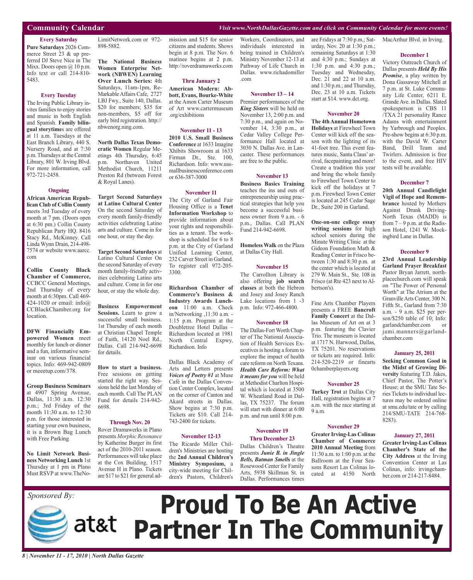#### **Community Calendar** *Visit www.NorthDallasGazette.com and click on Community Calendar for more events!*

#### **Every Saturday Pure Saturdays** 2026 Commerce Street 23 & up preferred DJ Steve Nice in The Mixx. Doors open @ 10 p.m. Info text or call 214-810- 5483.

#### **Every Tuesday**

The Irving Public Library invites families to enjoy stories and music in both English and Spanish. **Family bilingual storytime**s are offered at 11 a.m. Tuesdays at the East Branch Library, 440 S. Nursery Road, and at 7:30 p.m. Thursdays at the Central Library, 801 W. Irving Blvd. For more information, call 972-721-2458.

#### **Ongoing**

**African American Republican Club of Collin County** meets 3rd Tuesday of every month at 7 pm. (Doors open at 6:30 pm.) Collin County Republican Party HQ. 8416 Stacy Rd., McKinney. Call Linda Wynn Drain, 214-498- 7574 or website www.aarcc. com

**Collin County Black Chamber of Commerce,** CCBCC General Meetings, 2nd Thursday of every month at 6:30pm. Call 469- 424-1020 or email: info@ CCBlackChamber.org for location.

**DFW Financially Empowered Women** meet monthly for lunch or dinner and a fun, informative seminar on various financial topics. Info: 469-942-0809 or meeetup.com/378.

**Group Business Seminars** at 4907 Spring Avenue, Dallas, 11:30 a.m. 12:30 p.m.; 3rd Friday of the month 11:30 a.m. to 12:30 p.m. for those interested in starting your own business, it is a Brown Bag Lunch with Free Parking

**No Limit Network Business Networking Lunch** 1st Thursday at 1 pm in Plano Must RSVP at www.TheNo-

*Sponsored By:*

LimitNetwork.com or 972- 898-5882.

**The National Business Women Enterprise Network (NBWEN) Learning Over Lunch Series:** 4th Saturdays, 11am-1pm, Re-MarkableAffairs Cafe, 2727 LBJ Fwy., Suite 140, Dallas. \$20 for members; \$35 for non-members, \$5 off for early bird registration. http:// nbwenorg.ning.com.

**North Dallas Texas Democratic Women** Regular Meetings 4th Thursday, 6:45 p.m. Northaven United Methodist Church, 11211 Preston Rd (between Forest & Royal Lanes).

**Target Second Saturdays at Latino Cultural Center** On the second Saturday of every month family-friendly activities celebrating Latino arts and culture. Come in for one hour, or stay the day.

**Target Second Saturdays** at Latino Cultural Center On the second Saturday of every month family-friendly activities celebrating Latino arts and culture. Come in for one hour, or stay the whole day.

**Business Empowerment Sessions.** Learn to grow a successful small business. 1st Thursday of each month at Christian Chapel Temple of Faith, 14120 Noel Rd., Dallas. Call 214-942-6698 for details.

#### **How to start a business.** Free sessions on getting started the right way. Sessions held the last Monday of each month. Call The PLAN Fund for details 214-942- 6698.

#### **Through Nov. 20**

Rover Dramawerks in Plano presents *Morphic Resonance* by Katherine Burger its first act of the 2010-2011 season. Performances will take place at the Cox Building, 1517 Avenue H in Plano. Tickets are \$17 to \$21 for general admission and \$15 for senior citizens and students. Shows begin at 8 p.m. The Nov. 6 matinee begins at 2 p.m. http://roverdramawerks.com

#### **Thru January 2**

**American Modern: Abbott, Evans, Bourke-White** at the Amon Carter Museum of Art www.cartermuseum .org/exhibitions

#### **November 11 - 13**

**2010 U.S. Small Business Conference** at 1633 Imagine Xhibits Showroom at 1633 Firman Dr., Ste. 100, Richardson. Info: www.ussmallbusinessconference.com or 636-387-3000

#### **November 11**

The City of Garland Fair Housing Office is a **Tenet Information Workshop** to provide information about your rights and responsibilities as a tenant. The workshop is scheduled for 6 to 8 p.m. at the City of Garland Unified Learning Center, 232 Carver Street in Garland. To register call 972-205- 3300.

**Richardson Chamber of Commerce's Business & Industry Awards Luncheon** 11:00 a.m. Check in/Networking ,11:30 a.m. - 1:15 p.m. Program at the Doubletree Hotel Dallas – Richardson located at 1981 North Central Expwy, Richardson. Info

Dallas Black Academy of Arts and Letters presents *Voices of Poetry #1* at Muse Café in the Dallas Convention Center Complex, located on the corner of Canton and Akard streets in Dallas. Show begins at 7:30 p.m. Tickets are \$10. Call 214- 743-2400 for tickets.

#### **November 12-13**

The Ricardo Miller Children's Ministries are hosting the **2nd Annual Children's Ministry Symposium,** a city-wide meeting for Children's Pastors, Children's

#### Workers, Coordinators, and individuals interested in being trained in Children's Ministry November 12-13 at Pathway of Life Church in Dallas. www.richadomiller .com

#### **November 13 – 14**

Premier performances of the *King Sisters* will be held on November 13, 2:00 p.m. and 7:30 p.m., and again on November 14, 3:30 p.m., at Cedar Valley College Performance Hall located at 3030 N. Dallas Ave. in Lancaster. These performances are free to the public.

#### **November 13**

**Business Basics Training** teaches the ins and outs of entrepreneurship using practical strategies that help you become a successful business owner from 9 a.m. - 6 p.m., Dallas. Call PLAN Fund 214-942-6698.

**Homeless Walk** on the Plaza at Dallas City Hall.

#### **November 15**

The Carrollton Library is also offering **job search classes** at both the Hebron and Josey and Josey Ranch Lake locations from 1 -3 p.m. Info: 972-466-4800.

#### **November 18**

The Dallas-Fort Worth Chapter of The National Association of Health Services Executives is hosting a forum to explore the impact of health care reform on North Texans. *Health Care Reform: What it means for you* will be held at Methodist Charlton Hospital which is located at 3500 W. Wheatland Road in Dallas, TX 75237. The forum will start with dinner at 6:00 p.m. and run until 8:00 p.m.

### **November 19**

**Thru December 23** Dallas Children's Theatre presents *Junie B. in Jingle Bells, Batman Smell***s** at the Rosewood Center for Family Arts, 5938 Skillman St. in Dallas. Performances times

are Fridays at 7:30 p.m.; Saturday, Nov. 20 at 1:30 p.m.; remaining Saturdays at 1:30 and 4:30 p.m.; Sundays at 1:30 p.m. and 4:30 p.m.; Tuesday and Wednesday, Dec. 21 and 22 at 10 a.m. and 1:30 p.m.; and Thursday, Dec. 23 at 10 a.m. Tickets start at \$14. www.dct.org.

#### **November 20**

**The 4thAnnual Hometown Holidays** at Firewheel Town Center will kick off the season with the lighting of its 41-foot tree. This event features music, Santa Claus' arrival, facepainting and more! Create a tradition this year and bring the whole family to Firewheel Town Center to kick off the holidays at 7 p.m. Firewheel Town Center is located at 245 Cedar Sage Dr., Suite 200 in Garland.

**One-on-one college essay writing sessions** for high school seniors during the Minute Writing Clinic at the Gideon Foundation Math & Reading Center in Frisco between 1:30 and 8:30 p.m. at the center which is located at 279 W. Main St., Ste. 108 in Frisco (at Rte 423 next to Albertson's).

Fine Arts Chamber Players presents a FREE **Bancroft Family Concert** at the Dallas Museum of Art on at 3 p.m. featuring the Clavier Trio. The museum is located at 1717 N. Harwood, Dallas, TX 75201. No reservations or tickets are required. Info: 214-520-2219 or finearts 0chamberplayers.org

#### **November 25**

**Turkey Trot** at Dallas City Hall, registration begins at 7 a.m. with the race starting at 9 a.m.

#### **November 29**

**Greater Irving-Las Colinas Chamber of Commerce 2010 Annual Meeting** from 11:30 a.m. to 1:00 p.m. at the Ballroom at the Four Seasons Resort Las Colinas located at 4150 North

#### MacArthur Blvd. in Irving.

#### **December 1**

Victory Outreach Church of Dallas presents *Held By His Promise*, a play written by Dona Gassaway Mitchell at 7 p.m. at St. Luke Community Life Center, 6211 E. GrandeAve. in Dallas. Slated spokesperson is CBS 11 /TXA 21 personality Rance Adams with entertainment by Yarbrough and Peoples. Pre-show begins at 6:30 p.m. with the David W. Carter Band, Drill Team and Twirlers. Admission is free to the event, and free HIV tests will be available.

#### **December 7**

**20th Annual Candlelight Vigil of Hope and Remembrance** hosted by Mothers Against Drunk Driving-North Texas (MADD) is from 7 – 9 p.m. at the Radisson Hotel, 1241 W. Mockingbird Lane in Dallas.

#### **December 9**

**23rd Annual Leadership Garland Prayer Breakfast** Pastor Bryan Jarrett, northplacechurch.com will speak on "The Power of Personal Worth" at The Atrium at the GranvilleArts Center, 300 N. Fifth St., Garland from 7:30 a.m. - 9 a.m. \$25 per person/\$250 table of 10; Info: garlandchamber.com or jami.manners@garlandchamber.com

#### **January 25, 2011**

**Seeking Common Good in the Midst of Growing Diversity** featuring T.D. Jakes, Chief Pastor, The Potter's House; at the SMU Tate Series Tickets to individual lectures may be ordered online at smu.edu/tate or by calling 214/SMU-TATE 214-768- 8283).

#### **January 27, 2011**

**Greater Irving-Las Colinas Chamber's State of the City Address** at the Irving Convention Center at Las Colinas, info: irvingchamber.com or 214-217-8484.

# **Proud To Be An Active Partner In The Community**

*8 | November 11 - 17, 2010 | North Dallas Gazette*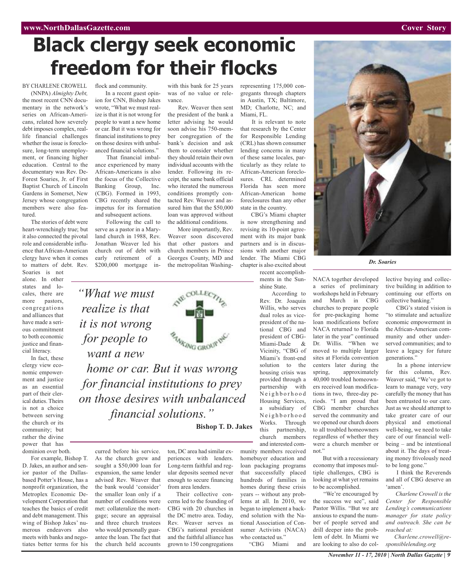# **Black clergy seek economic freedom for their flocks**

vance.

with this bank for 25 years was of no value or rele-

Rev. Weaver then sent the president of the bank a letter advising he would soon advise his 750-member congregation of the bank's decision and ask them to consider whether they should retain their own individual accounts with the lender. Following its receipt, the same bank official who iterated the numerous conditions promptly contacted Rev. Weaver and assured him that the \$50,000 loan was approved without the additional conditions. More importantly, Rev. Weaver soon discovered that other pastors and church members in Prince Georges County, MD and the metropolitan Washing-

BY CHARLENE CROWELL (NNPA) *Almighty Debt,*

the most recent CNN documentary in the network's series on African-Americans, related how severely debt imposes complex, reallife financial challenges whether the issue is foreclosure, long-term unemployment, or financing higher education. Central to the documentary was Rev. De-Forest Soaries, Jr. of First Baptist Church of Lincoln Gardens in Somerset, New Jersey whose congregation members were also featured.

The stories of debt were heart-wrenchingly true; but it also connected the pivotal role and considerable influence that African-American clergy have when it comes to matters of debt. Rev.

Soaries is not alone. In other states and locales, there are more pastors, congregations and alliances that have made a serious commitment to both economic justice and financial literacy.

In fact, these clergy view economic empowerment and justice as an essential part of their clerical duties. Theirs is not a choice between serving the church or its community; but rather the divine power that has dominion over both.

For example, Bishop T. D. Jakes, an author and senior pastor of the Dallasbased Potter's House, has a nonprofit organization, the Metroplex Economic Development Corporation that teaches the basics of credit and debt management. This wing of Bishop Jakes' numerous endeavors also meets with banks and negotiates better terms for his

flock and community. In a recent guest opin-

ion for CNN, Bishop Jakes wrote, "What we must realize is that it is not wrong for people to want a new home or car. But it was wrong for financial institutions to prey on those desires with unbalanced financial solutions."

That financial imbalance experienced by many African-Americans is also the focus of the Collective Banking Group, Inc. (CBG). Formed in 1993, CBG recently shared the impetus for its formation and subsequent actions.

Following the call to serve as a pastor in a Maryland church in 1988, Rev. Jonathan Weaver led his church out of debt with early retirement of a \$200,000 mortgage in-

*"What we must realize is that it is not wrong for people to want a new*

*home or car. But it was wrong for financial institutions to prey on those desires with unbalanced financial solutions."*

**Bishop T. D. Jakes**

curred before his service. As the church grew and sought a \$50,000 loan for expansion, the same lender advised Rev. Weaver that the bank would 'consider' the smaller loan only if a number of conditions were met: collateralize the mortgage; secure an appraisal and three church trustees who would personally guarantee the loan. The fact that the church held accounts

ton, DC area had similar experiences with lenders. Long-term faithful and regular deposits seemed never enough to secure financing from area lenders.

Their collective concerns led to the founding of CBG with 20 churches in the DC metro area. Today, Rev. Weaver serves as CBG's national president and the faithful alliance has grown to 150 congregations

representing 175,000 congregants through chapters in Austin, TX; Baltimore, MD; Charlotte, NC; and Miami, FL.

It is relevant to note that research by the Center for Responsible Lending (CRL) has shown consumer lending concerns in many of these same locales, particularly as they relate to African-American foreclosures. CRL determined Florida has seen more African-American home foreclosures than any other state in the country.

CBG's Miami chapter is now strengthening and revising its 10-point agreement with its major bank partners and is in discussions with another major lender. The Miami CBG chapter is also excited about recent accomplish-

> ments in the Sunshine State. According to

Rev. Dr. Joaquin Willis, who serves dual roles as vicepresident of the national CBG and president of CBG-Miami-Dade & Vicinity, "CBG of Miami's front-end solution to the housing crisis was provided through a partnership with N e i g h b o r h o o d Housing Services, a subsidiary of N e i g h b o r h o o d Works. Through this partnership, church members and interested community members received homebuyer education and

loan packaging programs that successfully placed hundreds of families in homes during these crisis years -- without any problems at all. In 2010, we began to implement a backend solution with the National Association of Consumer Activists (NACA) who contacted us."

"CBG Miami and



*Dr. Soaries*

NACA together developed a series of preliminary workshops held in February and March in CBG churches to prepare people for pre-packaging home loan modifications before NACA returned to Florida later in the year" continued Dr. Willis. "When we moved to multiple larger sites at Florida convention centers later during the spring, approximately 40,000 troubled homeowners received loan modifications in two, three-day periods. "I am proud that CBG member churches served the community and we opened our church doors to all troubled homeowners regardless of whether they were a church member or not."

But with a recessionary economy that imposes multiple challenges, CBG is looking at what yet remains to be accomplished.

"We're encouraged by the success we see", said Pastor Willis. "But we are anxious to expand the number of people served and drill deeper into the problem of debt. In Miami we are looking to also do collective buying and collective building in addition to continuing our efforts on collective banking."

CBG's stated vision is "to stimulate and actualize economic empowerment in the African-American community and other underserved communities; and to leave a legacy for future generations."

In a phone interview for this column, Rev. Weaver said, "We've got to learn to manage very, very carefully the money that has been entrusted to our care. Just as we should attempt to take greater care of our physical and emotional well-being, we need to take care of our financial wellbeing – and be intentional about it. The days of treating money frivolously need to be long gone."

I think the Reverends and all of CBG deserve an 'amen'.

*Charlene Crowell is the Center for Responsible Lending's communications manager for state policy and outreach. She can be reached at:*

*Charlene.crowell@responsiblelending.org*



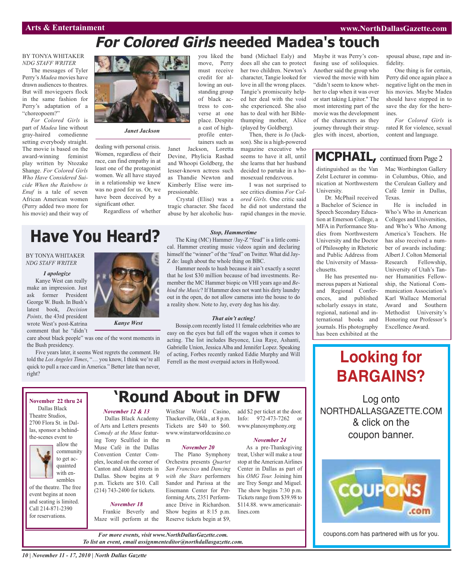fidelity.

ines.

## **For Colored Girls needed Madea's touch**

#### BY TONYA WHITAKER *NDG STAFF WRITER*

The messages of Tyler Perry's *Madea* movies have drawn audiences to theatres. But will moviegoers flock in the same fashion for Perry's adaptation of a "choreopoem?"

*For Colored Girls* is part of *Madea* line without gray-haired comedienne setting everybody straight. The movie is based on the award-winning feminist play written by Ntozake Shange. *For Colored Girls Who Have Considered Suicide When the Rainbow is Enuf* is a tale of seven African American women (Perry added two more for his movie) and their way of

*I apologize* Kanye West can really make an impression. Just ask former President George W. Bush. In Bush's latest book, *Decision Points,* the 43rd president wrote West's post-Katrina comment that he "didn't

BY TONYA WHITAKER *NDG STAFF WRITER*



#### *Janet Jackson*

dealing with personal crisis. Women, regardless of their race, can find empathy in at least one of the protagonist women. We all have stayed in a relationship we knew was no good for us. Or, we have been deceived by a significant other.

Regardless of whether

you liked the move, Perry must receive credit for allowing an outstanding group of black actress to converse at one place. Despite a cast of highprofile entertainers such as

Janet Jackson, Loretta Devine, Phylicia Rashad and Whoopi Goldberg, the lesser-known actress such as Thandie Newton and Kimberly Elise were impressionable.

Crystal (Elise) was a tragic character. She faced abuse by her alcoholic husband (Michael Ealy) and does all she can to protect her two children. Newton's character, Tangie looked for love in all the wrong places. Tangie's promiscuity helped her deal with the void she experienced. She also has to deal with her Biblethumping mother, Alice (played by Goldberg). Then, there is Jo (Jack-

son). She is a high-powered magazine executive who seems to have it all, until she learns that her husband decided to partake in a homosexual rendezvous.

I was not surprised to see critics dismiss *For Colored Girls.* One critic said he did not understand the rapid changes in the movie.

#### *Stop, Hammertime*

The King (MC) Hammer /Jay-Z "feud" is a little comical. Hammer creating music videos again and declaring himself the "winner" of the "feud" on Twitter. What did Jay-Z do: laugh about the whole thing on BBC.

Hammer needs to hush because it ain't exactly a secret that he lost \$30 million because of bad investments. Remember the MC Hammer biopic on VHI years ago and *Behind the Music*? If Hammer does not want his dirty laundry out in the open, do not allow cameras into the house to do a reality show. Note to Jay, every dog has his day.

#### *That ain't acting!*

Bossip.com recently listed 11 female celebrities who are easy on the eyes but fall off the wagon when it comes to acting. The list includes Beyonce, Lisa Raye, Ashanti, Gabrielle Union, Jessica Alba and Jennifer Lopez. Speaking of acting, Forbes recently ranked Eddie Murphy and Will Ferrell as the most overpaid actors in Hollywood.

## **'Round About in DFW**

*November 12 & 13* Dallas Black Academy of Arts and Letters presents *Comedy at the Muse* featuring Tony Sculfied in the Muse Café in the Dallas Convention Center Complex, located on the corner of Canton and Akard streets in Dallas. Show begins at 9 p.m. Tickets are \$10. Call (214) 743-2400 for tickets.

#### *November 18*

Frankie Beverly and

WinStar World Casino, Thackerville, Okla., at 8 p.m. Info: 972-473-7262 or add \$2 per ticket at the door. www.planosymphony.org

#### *November 24*

As a pre-Thanksgiving treat, Usher will make a tour stop at the American Airlines Center in Dallas as part of his *OMG Tour.* Joining him are Trey Songz and Miguel. The show begins 7:30 p.m. Tickets range from \$39.98 to \$114.88. www.americanairlines.com

Maybe it was Perry's confusing use of soliloquies. Another said the group who viewed the movie with him "didn't seem to know whether to clap when it was over or start taking Lipitor." The most interesting part of the movie was the development of the characters as they journey through their struggles with incest, abortion,

### **MCPHAIL**, continued from Page 2

distinguished as the Van Zelst Lecturer in communication at Northwestern University.

Dr. McPhail received a Bachelor of Science in Speech Secondary Education at Emerson College, a MFA in Performance Studies from Northwestern University and the Doctor of Philosophy in Rhetoric and Public Address from the University of Massachusetts.

He has presented numerous papers at National and Regional Conferences, and published scholarly essays in state, regional, national and international books and journals. His photography has been exhibited at the

Mac Worthington Gallery in Columbus, Ohio, and the Cerulean Gallery and Café Izmir in Dallas, Texas.

spousal abuse, rape and in-

One thing is for certain, Perry did once again place a negative light on the men in his movies. Maybe Madea should have stepped in to save the day for the hero-

*For Colored Girls* is rated R for violence, sexual content and language.

He is included in Who's Who in American Colleges and Universities, and Who's Who Among America's Teachers. He has also received a number of awards including: Albert J. Colton Memorial Research Fellowship, University of Utah's Tanner Humanities Fellowship, the National Communication Association's Karl Wallace Memorial Award and Southern Methodist University's Honoring our Professor's Excellence Award.

## **Looking for BARGAINS?**

Log onto NORTHDALLASGAZETTE.COM & click on the coupon banner.



coupons.com has partnered with us for you.

*Kanye West*

care about black people" was one of the worst moments in the Bush presidency.

**Have You Heard?**

Five years later, it seems West regrets the comment. He told the *Los Angeles Times*, "… you know, I think we're all quick to pull a race card in America." Better late than never, right?

#### **November 22 thru 24** Dallas Black Theatre Studios, 2700 Flora St. in Dallas, sponsor a behindthe-scenes event to



quainted with ensembles of the theatre. The free event begins at noon and seating is limited.

Call 214-871-2390 for reservations.

Maze will perform at the *For more events, visit www.NorthDallasGazette.com.*

*To list an event, email assignmenteditor@northdallasgazette.com.*

Tickets are \$40 to \$60. www.winstarworldcasino.co m *November 20*

The Plano Symphony Orchestra presents *Quartet San Francisco* and *Dancing with the Stars* performers Sandor and Parissa at the Eisemann Center for Performing Arts, 2351 Performance Drive in Richardson. Show begins at 8:15 p.m. Reserve tickets begin at \$9,

#### *10 | November 11 - 17, 2010 | North Dallas Gazette*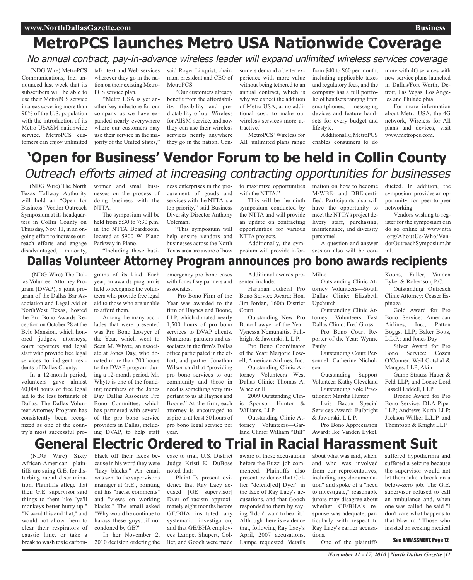# **MetroPCS launches Metro USA Nationwide Coverage**

### No annual contract, pay-in-advance wireless leader will expand unlimited wireless services coverage

(NDG Wire) MetroPCS Communications, Inc. announced last week that its subscribers will be able to use their MetroPCS service in areas covering more than 90% of the U.S. population with the introduction of its Metro USASM nationwide service. MetroPCS customers can enjoy unlimited talk, text and Web services wherever they go in the nation on their existing Metro-PCS service plan.

"Metro USA is yet another key milestone for our company as we have expanded nearly everywhere where our customers may use their service in the majority of the United States,"

said Roger Linquist, chairman, president and CEO of MetroPCS.

"Our customers already benefit from the affordability, flexibility and predictability of our Wireless for AllSM service, and now they can use their wireless services nearly anywhere they go in the nation. Consumers demand a better experience with more value without being tethered to an annual contract, which is why we expect the addition of Metro USA, at no additional cost, to make our wireless services more attractive."

MetroPCS'Wireless for

from \$40 to \$60 per month, including applicable taxes and regulatory fees, and the company has a full portfolio of handsets ranging from smartphones, messaging devices and feature handsets for every budget and lifestyle.

All unlimited plans range enables consumers to do Additionally, MetroPCS more with 4G services with new service plans launched in Dallas/Fort Worth, Detroit, Las Vegas, Los Angeles and Philadelphia.

For more information about Metro USA, the 4G network, Wireless for All plans and devices, visit www.metropcs.com.

## **'Open for Business' Vendor Forum to be held in Collin County** Outreach efforts aimed at increasing contracting opportunities for businesses

(NDG Wire) The North Texas Tollway Authority will hold an "Open for Business" Vendor Outreach Symposium at its headquarters in Collin County on Thursday, Nov. 11, in an ongoing effort to increase outreach efforts and engage disadvantaged, minority,

women and small businesses on the process of doing business with the NTTA.

The symposium will be held from 5:30 to 7:30 p.m. in the NTTA Boardroom, located at 5900 W. Plano Parkway in Plano. "Including these business enterprises in the procurement of goods and services with the NTTA is a top priority," said Business Diversity Director Anthony Coleman.

"This symposium will help ensure vendors and businesses across the North Texas area are aware of how

to maximize opportunities with the NTTA."

This will be the ninth symposium conducted by the NTTA and will provide an update on contracting opportunities for various NTTA projects. Additionally, the symmation on how to become M/WBE- and DBE-certified. Participants also will have the opportunity to meet the NTTA's project delivery staff, purchasing, maintenance, and diversity personnel.

posium will provide infor-A question-and-answer session also will be con-

portunity for peer-to-peer networking. Vendors wishing to register for the symposium can do so online at www.ntta

ducted. In addition, the symposium provides an op-

**Dallas Volunteer Attorney Program announces pro bono awards recipients** dorOutreachSymposium.ht ml.

#### (NDG Wire) The Dallas Volunteer Attorney Program (DVAP), a joint program of the Dallas Bar Association and Legal Aid of NorthWest Texas, hosted the Pro Bono Awards Reception on October 28 at the Belo Mansion, which honored judges, attorneys, court reporters and legal staff who provide free legal services to indigent residents of Dallas County.

In a 12-month period, volunteers gave almost 60,000 hours of free legal aid to the less fortunate of Dallas. The Dallas Volunteer Attorney Program has consistently been recognized as one of the country's most successful pro-

grams of its kind. Each year, an awards program is held to recognize the volunteers who provide free legal aid to those who are unable to afford them.

Among the many accolades that were presented was Pro Bono Lawyer of the Year, which went to Sean M. Whyte, an associate at Jones Day, who donated more than 700 hours to the DVAP program during a 12-month period. Mr. Whyte is one of the founding members of the Jones Day Dallas Associate Pro Bono Committee, which has partnered with several of the pro bono service providers in Dallas, including DVAP, to help staff

emergency pro bono cases with Jones Day partners and associates.

Pro Bono Firm of the Year was awarded to the firm of Haynes and Boone, LLP, which donated nearly 1,500 hours of pro bono services to DVAP clients. Numerous partners and associates in the firm's Dallas office participated in the effort, and partner Jonathan Wilson said that "providing pro bono services to our community and those in need is something very important to us at Haynes and Boone." At the firm, each attorney is encouraged to aspire to at least 50 hours of pro bono legal service per year.

Additional awards presented include:

Hartman Judicial Pro Bono Service Award: Hon. Jim Jordan, 160th District Court

Outstanding New Pro Bono Lawyer of the Year: Vynessa Nemunaitis, Fullbright & Jaworski, L.L.P.

Pro Bono Coordinator of the Year: Marjorie Powell, American Airlines, Inc.

Outstanding Clinic Attorney Volunteers—West Dallas Clinic: Thomas A. Wheeler III

2009 Outstanding Clinic Sponsor: Hunton & Williams, LLP

Outstanding Clinic Attorney Volunteers—Garland Clinic: William "Bill"

Milne

Outstanding Clinic Attorney Volunteers—South Dallas Clinic: Elizabeth Upchurch

Outstanding Clinic Attorney Volunteers—East Dallas Clinic: Fred Gross

Pro Bono Court Reporter of the Year: Wynne Pauly

Outstanding Court Personnel: Catherine Nicholson

Outstanding Support Volunteer: Kathy Cleveland Outstanding Sole Practitioner: Marsha Hunter

Lois Bacon Special Services Award: Fulbright & Jaworski, L.L.P.

Pro Bono Appreciation Award: Ike Vanden Eykel,

Koons, Fuller, Vanden Eykel & Robertson, P.C. Outstanding Outreach

Clinic Attorney: Ceaser Espinoza

Gold Award for Pro Bono Service: American Airlines, Inc.; Patton Boggs, LLP; Baker Botts, L.L.P.; and Jones Day

Silver Award for Pro Bono Service: Cozen O'Conner; Weil Gotshal & Manges, LLP; Akin

Gump Strauss Hauer & Feld LLP; and Locke Lord Bissell Liddell, LLP

Bronze Award for Pro Bono Service: DLA Piper LLP; Andrews Kurth LLP; Jackson Walker L.L.P. and Thompson & Knight LLP

# **General Electric Ordered to Trial in Racial Harassment Suit**

(NDG Wire) Sixty African-American plaintiffs are suing G.E. for disturbing racial discrimination. Plaintiffs allege that their G.E. supervisor said things to them like "ya'll monkeys better hurry up," "N word this and that," and would not allow them to clear their respirators of caustic lime, or take a break to wash toxic carbon-

black off their faces because in his word they were "lazy blacks." An email was sent to the supervisor's manager at G.E., pointing out his "racist comments" and "views on working blacks." The email asked "Why would he continue to harass these guys...if not condoned by GE?" In her November 2,

2010 decision ordering the

case to trial, U.S. District Judge Kristi K. DuBose noted that:

Plaintiffs present evidence that Ray Lacy accused [GE supervisor] Dyer of racism approximately eight months before GE/BHA instituted any systematic investigation, and that GE/BHA employees Lampe, Shupert, Collier, and Gooch were made

aware of those accusations before the Buzzi job commenced. Plaintiffs also present evidence that Collier "defend[ed] Dyer" in the face of Ray Lacy's accusations, and that Gooch responded to them by saying "I don't want to hear it." Although there is evidence that, following Ray Lacy's April, 2007 accusations, Lampe requested "details

about what was said, when, and who was involved from our representatives, including any documentation" and spoke of a "need to investigate," reasonable jurors may disagree about whether GE/BHA's response was adequate, particularly with respect to Ray Lacy's earlier accusations.

suffered hypothermia and suffered a seizure because the supervisor would not let them take a break on a below-zero job. The G.E. supervisor refused to call an ambulance and, when one was called, he said "I don't care what happens to that N-word." Those who insisted on seeking medical

One of the plaintiffs

See HARASSMENT, Page 12

.org/AboutUs/Who/Ven-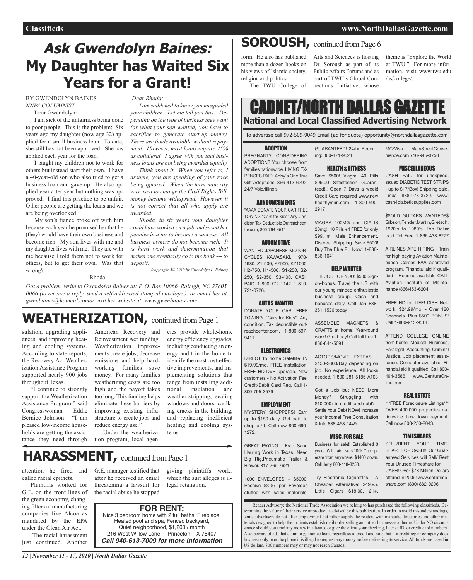## **Ask Gwendolyn Baines: My Daughter has Waited Six Years for a Grant!**

BY GWENDOLYN BAINES *NNPA COLUMNIST*

Dear Gwendolyn:

I am sick of the unfairness being done to poor people. This is the problem: Six years ago my daughter (now age 32) applied for a small business loan. To date, she still has not been approved. She has applied each year for the loan.

I taught my children not to work for others but instead start their own. I have a 40-year-old son who also tried to get a business loan and gave up. He also applied year after year but nothing was approved. I find this practice to be unfair. Other people are getting the loans and we are being overlooked.

My son's fiance broke off with him because each year he promised her that he (they) would have their own business and become rich. My son lives with me and my daughter lives with me. They are with me because I told them not to work for others, but to get their own. Was that wrong?

Rhoda

*Dear Rhoda:*

*I am saddened to know you misguided your children. Let me tell you this: Depending on the type of business they want (or what your son wanted) you have to sacrifice to generate start-up money. There are funds available without repayment. However, most loans require 25% as collateral. I agree with you that business loans are not being awarded equally.*

*Think about it. When you refer to, I assume, you are speaking of your race being ignored. When the term minority was used to change the Civil Rights Bill, money became widespread. However, it is not correct that all who apply are awarded.*

*Rhoda, in six years your daughter could have worked on a job and saved her pennies in a jar to become a success. All business owners do not become rich. It is hard work and determination that makes one eventually go to the bank --- to deposit.*

*(copyright © 2010 by Gwendolyn L. Baines)*

*Got a problem, write to Gwendolyn Baines at: P. O. Box 10066, Raleigh, NC 27605- 0066 (to receive a reply, send a self-addressed stamped envelope.) or email her at: gwenbaines@hotmail.comor visit her website at: www.gwenbaines.com*

## WEATHERIZATION, continued from Page 1

sulation, upgrading appliances, and improving heating and cooling systems. According to state reports, the Recovery Act Weatherization Assistance Program supported nearly 900 jobs throughout Texas.

"I continue to strongly support the Weatherization Assistance Program," said Congresswoman Eddie Bernice Johnson. "I am pleased low-income households are getting the assistance they need through American Recovery and Reinvestment Act funding. Weatherization improvements create jobs, decrease emissions and help hardworking families save money. For many families weatherizing costs are too high and the payoff takes too long. This funding helps eliminate these barriers by improving existing infrastructure to create jobs and reduce energy use." Under the weatheriza-

including conducting an energy audit in the home to identify the most cost-effective improvements, and implementing solutions that range from installing additional insulation and weather-stripping, sealing windows and doors, caulking cracks in the building, and replacing inefficient heating and cooling systems.

cies provide whole-home energy efficiency upgrades,

tion program, local agen-

## **HARASSMENT,** continued fromPage <sup>1</sup>

attention he fired and called racial epithets.

Plaintiffs worked for G.E. on the front lines of the green economy, changing filters at manufacturing companies like Alcoa as mandated by the EPA under the Clean Air Act.

The racial harassment just continued. Another

G.E. manager testified that after he received an email threatening a lawsuit for the racial abuse he stopped giving plaintiffs work, which the suit alleges is illegal retaliation.

### **FOR RENT:**

Nice 3 bedroom home with 2 full baths, Fireplace, Heated pool and spa, Fenced backyard, Quiet neighborhood, \$1,200 / month 216 West Willow Lane | Princeton, TX 75407 *Call 940-613-7009 for more information*

form. He also has published more than a dozen books on his views of Islamic society, religion and politics. The TWU College of

Arts and Sciences is hosting Dr. Soroush as part of its Public Affairs Forums and as part of TWU's Global Connections Initiative, whose

theme is "Explore the World at TWU." For more information, visit www.twu.edu /as/college/.

### CADNET/NORTH DALLAS GAZET **National and Local Classified Advertising Network**

To advertise call 972-509-9049 Email (ad for quote) opportunity@northdallasgazette.com

#### ADOPTION

PREGNANT? CONSIDERING ADOPTION? You choose from families nationwide. LIVING EX-PENSES PAID. Abby's One True Gift Adoptions. 866-413-6292, 24/7 Void/Illinois

#### ANNOUNCEMENTS

\*AAAA DONATE YOUR CAR FREE TOWING "Cars for Kids" Any Condition Tax Deductible Outreachcenter.com, 800-794-4511

#### AUTOMOTIVE

WANTED JAPANESE MOTOR-CYCLES KAWASAKI, 1970- 1980, Z1-900, KZ900, KZ1000, H2-750, H1-500, S1-250, S2- 250, S2-350, S3-400. CASH PAID. 1-800-772-1142. 1-310- 721-0726.

#### AUTOS WANTED

DONATE YOUR CAR. FREE TOWING. "Cars for Kids". Any condition. Tax deductible outreachcenter.com, 1-800-597- 9411

#### **ELECTRONICS**

DIRECT to home Satellite TV \$19.99/mo. FREE installation, FREE HD-DVR upgrade. New customers - No Activation Fee! Credit/Debit Card Req. Call 1- 800-795-3579

#### EMPLOYMENT

MYSTERY SHOPPERS! Earn up to \$150 daily. Get paid to shop pt/ft. Call now 800-690- 1272.

GREAT PAYING... Frac Sand Hauling Work in Texas. Need Big Rig,Pneumatic Trailer & Blower. 817-769-7621

1000 ENVELOPES = \$5000, Receive \$3-\$7 per Envelope stuffed with sales materials.

#### Reader Advisory: the National Trade Association we belong to has purchased the following classifieds. Determining the value of their service or product is advised by this publication. In order to avoid misunderstandings, some advertisers do not offer employment but rather supply the readers with manuals, directories and other materials designed to help their clients establish mail order selling and other businesses at home. Under NO circumstance should you send any money in advance or give the client your checking, license ID, or credit card numbers. Also beware of ads that claim to guarantee loans regardless of credit and note that if a credit repair company does business only over the phone it is illegal to request any money before delivering its service. All funds are based in US dollars. 800 numbers may or may not reach Canada.

20mg!! 40 Pills +4 FREE for only \$99. #1 Male Enhancement.

#### HELP WANTED

THE JOB FOR YOU! \$500 Signon-bonus. Travel the US with our young minded enthusiastic business group. Cash and bonuses daily. Call Jan 888- 361-1526 today

CRAFTS at home! Year-round work! Great pay! Call toll free 1- 866-844-5091

\$150-\$300/Day depending on job. No experience. All looks needed. 1-800-281-5185-A103

#### MISC.FOR SALE

Business for sale!! Established 3 years. Will train. Nets 100k Can operate from anywhere. \$4400 down. Call Jerry 800-418-8250.

Try Electronic Cigarettes - A Cheaper Alternative! \$49.95. Little Cigars \$18.00. 21+.

#### GUARANTEED! 24/hr Record-MC/Visa. MainStreetConvenience.com 716-945-3750

#### **MISCELLANEOUS**

CASH PAID for unexpired, sealed DIABETIC TEST STRIPS - up to \$17/Box! Shipping paid. Linda 888-973-3729, www. cash4diabeticsupplies.com

\$\$OLD GUITARS WANTED\$\$ Gibson,Fender,Martin,Gretsch. 1920's to 1980's. Top Dollar paid. Toll Free: 1-866-433-8277

AIRLINES ARE HIRING - Train for high paying Aviation Maintenance Career. FAA approved program. Financial aid if qualified - Housing available CALL Aviation Institute of Maintenance (866)453-6204.

FREE HD for LIFE! DISH Network. \$24.99/mo. - Over 120 Channels. Plus \$500 BONUS! Call 1-800-915-9514.

ATTEND COLLEGE ONLINE from home. Medical, Business, Paralegal, Accounting, Criminal Justice. Job placement assistance. Computer available. Financial aid if qualified. Call 800- 494-3586 www.CenturaOnline.com

#### REAL ESTATE

\*\*\*FREE Foreclosure Listings\*\*\* OVER 400,000 properties nationwide. Low down payment. Call now 800-250-2043.

#### TIMESHARES

SHARE FOR CASH!!! Our Guaranteed Services will Sell/ Rent Your Unused Timeshare for CASH! Over \$78 Million Dollars offered in 2009! www.sellatimeshare.com (800) 882-0296

\$99.00 Satisfaction Guaran-

ing: 800-471-9524

HEALTH & FITNESS Save \$500! Viagra! 40 Pills teed!!! Open 7 Days a week! Credit Card required www.new healthyman.com, 1-800-590- 2917

VIAGRA 100MG and CIALIS Discreet Shipping. Save \$500! Buy The Blue Pill Now! 1-888- 886-1041

ASSEMBLE MAGNETS &

ACTORS/MOVIE EXTRAS -

Got a Job but NEED More Money? Struggling with \$10,000+ in credit card debt? Settle Your Debt NOW! Increase your income! Free Consultation & Info 888-458-1449

SELL/RENT YOUR TIME-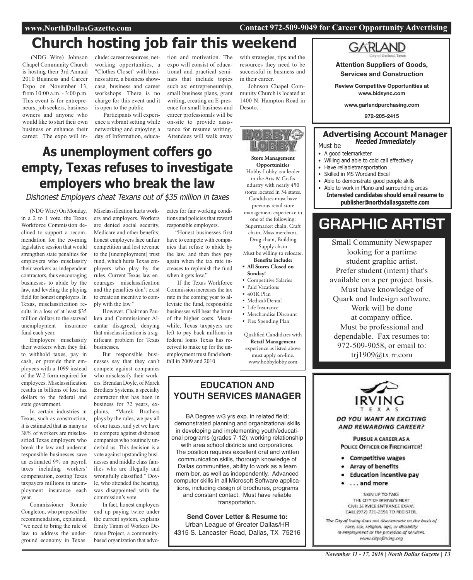#### **www.NorthDallasGazette.com Contact 972-509-9049 for Career Opportunity Advertising**

# **Church hosting job fair this weekend**

(NDG Wire) Johnson Chapel Community Church is hosting their 3rd Annual 2010 Business and Career Expo on November 13, from 10:00 a.m. - 3:00 p.m. This event is for entrepreneurs, job seekers, business owners and anyone who would like to start their own business or enhance their career. The expo will in-

clude: career resources, networking opportunities, a "Clothes Closet" with business attire, a business showcase, business and career workshops. There is no charge for this event and it is open to the public.

Participants will experience a vibrant setting while networking and enjoying a day of Information, education and motivation. The expo will consist of educational and practical seminars that include topics such as: entrepreneurship, small business plans, grant writing, creating an E-presence for small business and career professionals will be on-site to provide assistance for resume writing. Attendees will walk away

with strategies, tips and the resources they need to be successful in business and in their career.

Johnson Chapel Community Church is located at 1400 N. Hampton Road in Desoto.

HOS 348  $\mathbb{F}[\mathfrak{g}]\boxtimes\mathfrak{g}$ 

**Sunday!**

• Competitive Salaries • Paid Vacations • 401K Plan • Medical/Dental • Life Insurance

• Merchandise Discount • Flex Spending Plan

Qualified Candidates with **Retail Management** experience as listed above must apply on-line. www.hobbylobby.com

**Store Management Opportunities** Hobby Lobby is a leader in the Arts & Crafts ndustry with nearly 450 stores located in 34 states. Candidates must have previous retail store management experience in one of the following: Supermarket chain, Craft chain, Mass merchant, Drug chain, Building Supply chain Must be willing to relocate. **Benefits include: • All Stores Closed on**

## **As unemployment coffers go empty, Texas refuses to investigate employers who break the law**

Dishonest Employers cheat Texans out of \$35 million in taxes

(NDG Wire) On Monday, in a 2 to 1 vote, the Texas Workforce Commission declined to support a recommendation for the co-ming legislative session that would strengthen state penalties for employers who misclassify their workers as independent contractors, thus encouraging businesses to abide by the law, and leveling the playing field for honest employers. In Texas, misclassification results in a loss of at least \$35 million dollars to the starved unemployment insurance fund each year.

Employers misclassify their workers when they fail to withhold taxes, pay in cash, or provide their employees with a 1099 instead of the W-2 form required for employees. Misclassification results in billions of lost tax dollars to the federal and state government.

In certain industries in Texas, such as construction, it is estimated that as many as 38% of workers are misclassified.Texas employers who break the law and undercut responsible businesses save an estimated 9% on payroll taxes including workers' compensation, costing Texas taxpayers millions in unemployment insurance each year.

Commissioner Ronnie Congleton, who proposed the recommendation, explained, "we need to bring the rule of law to address the underground economy in Texas.

Misclassification hurts workers and employers. Workers are denied social security, Medicare and other benefits; honest employers face unfair competition and lost revenue to the [unemployment] trust fund, which hurts Texas employers who play by the rules. Current Texas law encourages misclassification and the penalties don't exist to create an incentive to comply with the law."

However, Chairman Pauken and Commissioner Alcantar disagreed, denying that misclassification is a significant problem for Texas businesses.

But responsible businesses say that they can't compete against companies who misclassify their workers. Brendan Doyle, of Marek Brothers Systems, a specialty contractor that has been in business for 72 years, explains, "Marek Brothers plays by the rules, we pay all of our taxes, and yet we have to compete against dishonest companies who routinely underbid us. This decision is a vote against upstanding businesses and middle class families who are illegally and wrongfully classified." Doyle, who attended the hearing, was disappointed with the commission's vote.

In fact, honest employers end up paying twice under the current system, explains Emily Timm of Workers Defense Project, a communitybased organization that advocates for fair working conditions and policies that reward responsible employers.

"Honest businesses first have to compete with companies that refuse to abide by the law, and then they pay again when the tax rate increases to replenish the fund when it gets low."

If the Texas Workforce Commission increases the tax rate in the coming year to alleviate the fund, responsible businesses will bear the brunt of the higher costs. Meanwhile, Texas taxpayers are left to pay back millions in federal loans Texas has received to make up for the unemployment trust fund shortfall in 2009 and 2010.

### **EDUCATION AND YOUTH SERVICES MANAGER**

BA Degree w/3 yrs exp. in related field; demonstrated planning and organizational skills in developing and implementing youth/educational programs (grades 7-12); working relationship

with area school districts and corporations. The position requires excellent oral and written communication skills, thorough knowledge of Dallas communities, ability to work as a team mem-ber, as well as independently. Advanced computer skills in all Microsoft Software applications, including design of brochures, programs and constant contact. Must have reliable transportation.

**Send Cover Letter & Resume to:** Urban League of Greater Dallas/HR 4315 S. Lancaster Road, Dallas, TX 75216



**Attention Suppliers of Goods, Services and Construction**

**Review Competitive Opportunities at www.bidsync.com**

**www.garlandpurchasing.com**

**972-205-2415**

### **Advertising Account Manager Needed Immediately** Must be

- A good telemarketer • Willing and able to cold call effectively
- Have reliabletransportation
- Skilled in MS Wordand Excel
- Able to demonstrate good people skills
- Able to work in Plano and surrounding areas

**Interested candidates should email resume to publisher@northdallasgazette.com**

## **GRAPHIC ARTIST**

Small Community Newspaper looking for a partime student graphic artist. Prefer student (intern) that's available on a per project basis. Must have knowledge of Quark and Indesign software. Work will be done at company office. Must be professional and dependable. Fax resumes to: 972-509-9058, or email to: trj1909@tx.rr.com



DO YOU WANT AN EXCITING **AND REWARDING CAREER?** 

PURSUE A CAREER AS A POLICE OFFICER OR FIREFIGHTER!

- Competitive wages
- Array of benefits
- **Education incentive pay**
- ... and more

SIGN UP TO TAKE THE CITY OF IRVING'S NEXT CIVIL SERVICE ENTRANCE EXAM. CALL (972) 721-2596 TO REGISTER.

The City of Irving does not discriminate on the basis of roce, sex, religion, age, or disability in employment or the provision of services. www.cityofirving.org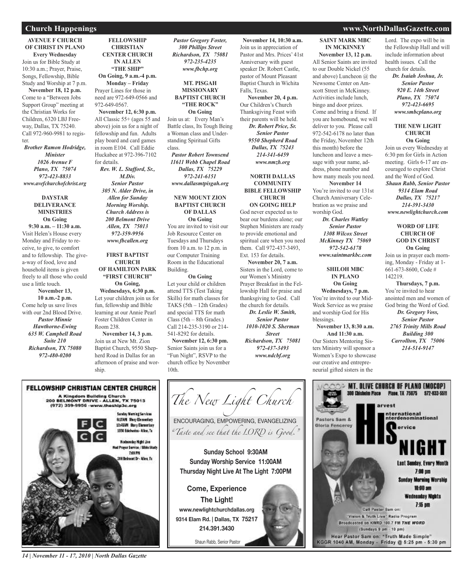#### **AVENUE F CHURCH OF CHRIST IN PLANO Every Wednesday** Join us for Bible Study at 10:30 a.m.; Prayer, Praise, Songs, Fellowship, Bible Study and Worship at 7 p.m. **November 18, 12 p.m.** Come to a "Between Jobs Support Group" meeting at the Christian Works for Children, 6320 LBJ Free-

way, Dallas, TX 75240. Call 972-960-9981 to register.

*Brother Ramon Hodridge, Minister 1026 Avenue F Plano, TX 75074 972-423-8833 www.avefchurchofchrist.org*

#### **DAYSTAR DELIVERANCE MINISTRIES On Going**

**9:30 a.m. – 11:30 a.m.** Visit Helen's House every Monday and Friday to receive, to give, to comfort and to fellowship. The givea-way of food, love and household items is given freely to all those who could use a little touch. **November 13, 10 a.m.-2 p.m.** Come help us save lives with our 2nd Blood Drive. *Pastor Minnie Hawthorne-Ewing 635 W. Campbell Road Suite 210 Richardson, TX 75080*

*972-480-0200*

**CHRISTIAN CENTER CHURCH IN ALLEN "THE SHIP" On Going, 9 a.m.-4 p.m. Monday – Friday** Prayer Lines for those in need are 972-649-0566 and 972-649-0567. **November 12, 6:30 p.m.** All Classic 55+ (ages 55 and above) join us for a night of fellowship and fun. Adults play board and card games in room E104. Call Eddie Huckabee at 972-396-7102 for details. *Rev. W. L. Stafford, Sr., M.Div. Senior Pastor 305 N. Alder Drive, in Allen for Sunday Morning Worship. Church Address is 200 Belmont Drive Allen, TX 75013 972-359-9956 www.fbcallen.org*

**FELLOWSHIP**

#### **FIRST BAPTIST CHURCH OF HAMILTON PARK "FIRST CHURCH" On Going, Wednesdays, 6:30 p.m.** Let your children join us for fun, fellowship and Bible learning at our Annie Pearl Foster Children Center in Room 238.

**November 14, 3 p.m.** Join us at New Mt. Zion Baptist Church, 9550 Shepherd Road in Dallas for an afternoon of praise and worship.

#### *Pastor Gregory Foster, 300 Phillips Street Richardson, TX 75081 972-235-4235 www.fbchp.org*

**MT. PISGAH MISSIONARY BAPTIST CHURCH "THE ROCK" On Going** Join us at: Every Man's

Battle class, Its Tough Being a Woman class and Understanding Spiritual Gifts class.

*Pastor Robert Townsend 11611 Webb Chapel Road Dallas, TX 75229 972-241-6151 www.dallasmtpisgah.org*

#### **NEW MOUNT ZION BAPTIST CHURCH OF DALLAS On Going**

You are invited to visit our Job Resource Center on Tuesdays and Thursdays from 10 a.m. to 12 p.m. in our Computer Training Room in the Educational Building.

#### **On Going**

Let your child or children attend TTS (Test Taking Skills) for math classes for TAKS (5th – 12th Grades) and special TTS for math Class (5th – 8th Grades.) Call 214-235-3190 or 214- 541-8292 for details.

**November 12, 6:30 pm.** Senior Saints join us for a "Fun Night", RSVP to the church office by November 10th.

**November 14, 10:30 a.m.** Join us in appreciation of Pastor and Mrs. Prices' 41st Anniversary with guest speaker Dr. Robert Castle, pastor of Mount Pleasant Baptist Church in Wichita Falls, Texas.

**November 20, 4 p.m.** Our Children's Church Thanksgiving Feast with their parents will be held. *Dr. Robert Price, Sr. Senior Pastor 9550 Shepherd Road Dallas, TX 75243 214-341-6459 www.nmzb.org*

#### **NORTH DALLAS COMMUNITY BIBLE FELLOWSHIP CHURCH**

**ON GOING HELP**

God never expected us to bear our burdens alone; our Stephen Ministers are ready to provide emotional and spiritual care when you need them. Call 972-437-3493, Ext. 153 for details.

**November 20, 7 a.m.** Sisters in the Lord, come to our Women's Ministry Prayer Breakfast in the Fellowship Hall for praise and thanksgiving to God. Call the church for details.

*Dr. Leslie W. Smith, Senior Pastor 1010-1020 S. Sherman Street Richardson, TX 75081 972-437-3493 www.ndcbf.org*

**SAINT MARK MBC IN MCKINNEY**

**November 13, 12 p.m.** All Senior Saints are invited to our Double Nickel (55 and above) Luncheon @ the Newsome Center on Amscott Street in McKinney. Activities include lunch, bingo and door prizes. Come and bring a friend. If you are homebound, we will deliver to you. Please call 972-542-6178 no later than the Friday, November 12th this month) before the luncheon and leave a message with your name, address, phone number and how many meals you need. **November 14**

You're invited to our 131st Church Anniversary Celebration as we praise and worship God. *Dr. Charles Wattley Senior Pastor 1308 Wilcox Street McKinney TX 75069 972-542-6178 www.saintmarkbc.com*

**SHILOH MBC IN PLANO On Going Wednesdays, 7 p.m.** You're invited to our Mid-Week Service as we praise and worship God for His blessings. **November 13, 8:30 a.m.**

**And 11:30 a.m.** Our Sisters Mentoring Sisters Ministry will sponsor a Women's Expo to showcase our creative and entrepreneurial gifted sisters in the

#### **Church Happenings www.NorthDallasGazette.com**

Lord. The expo will be in the Fellowship Hall and will include information about health issues. Call the church for details.

> *Dr. Isaiah Joshua, Jr. Senior Pastor 920 E. 14th Street Plano, TX 75074 972-423-6695 www.smbcplano.org*

#### **THE NEW LIGHT CHURCH On Going**

Join us every Wednesday at 6:30 pm for Girls in Action meeting. Girls 6-17 are encouraged to explore Christ and the Word of God. *Shaun Rabb, Senior Pastor 9314 Elam Road Dallas, TX 75217 214-391-3430*

*www.newlightchurch.com* **WORD OF LIFE**

#### **CHURCH OF GOD IN CHRIST On Going**

Join us in prayer each morning, Monday - Friday at 1- 661-673-8600, Code # 142219.

**Thursdays, 7 p.m.** You're invited to hear anointed men and women of God bring the Word of God. *Dr. Gregory Voss, Senior Pastor 2765 Trinity Mills Road Building 300 Carrollton, TX 75006 214-514-9147*





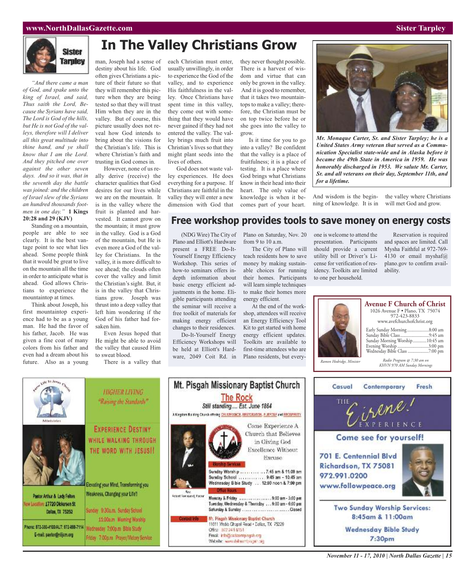#### **www.NorthDallasGazette.com Sister Tarpley**



*"And there came a man of God, and spake unto the king of Israel, and said, Thus saith the Lord, Because the Syrians have said, The Lord is God of the hills, but He is not God of the valleys, therefore will I deliver all this great multitude into thine hand, and ye shall know that I am the Lord. And they pitched one over against the other seven days. And so it was, that in the seventh day the battle was joined: and the children of Israel slew of the Syrians an hundred thousands footmen in one day."* **1 Kings 20:28 and 29 (KJV)**

Standing on a mountain, people are able to see clearly. It is the best vantage point to see what lies ahead. Some people think that it would be great to live on the mountain all the time in order to anticipate what is ahead. God allows Christians to experience the mountaintop at times.

Think about Joseph, his first mountaintop experience had to be as a young man. He had the favor of his father, Jacob. He was given a fine coat of many colors from his father and even had a dream about his future. Also as a young

Pastor Arthur & Lady Felton

E-mail: pastor@nlijcm.org

Dallas, TX 75252

ew Location: 17720 Dickerson St

## **In The Valley Christians Grow**

man, Joseph had a sense of destiny about his life. God often gives Christians a picture of their future so that they will remember this picture when they are being tested so that they will trust Him when they are in the valley. But of course, this picture usually does not reveal how God intends to bring about the visions for the Christian's life. This is where Christian's faith and trusting in God comes in.

However, none of us really derive (receive) the character qualities that God desires for our lives while we are on the mountain. It is in the valley where the fruit is planted and harvested. It cannot grow on the mountain; it must grow in the valley. God is a God of the mountain, but He is even more a God of the valley for Christians. In the valley, it is more difficult to see ahead; the clouds often cover the valley and limit the Christian's sight. But, it is in the valley that Christians grow. Joseph was thrust into a deep valley that left him wondering if the God of his father had forsaken him.

Even Jesus hoped that He might be able to avoid the valley that caused Him to sweat blood.

Friday 7:00p.m Prayer/Victory Service

There is a valley that

each Christian must enter, usually unwillingly, in order to experience the God of the valley, and to experience His faithfulness in the valley. Once Christians have spent time in this valley, they come out with something that they would have never gained if they had not entered the valley. The valley brings much fruit into Christian's lives so that they might plant seeds into the lives of others.

God does not waste valley experiences. He does everything for a purpose. If Christians are faithful in the valley they will enter a new dimension with God that

they never thought possible. There is a harvest of wisdom and virtue that can only be grown in the valley. And it is good to remember, that it takes two mountaintops to make a valley; therefore, the Christian must be on top twice before he or she goes into the valley to grow.

Is it time for you to go into a valley? Be confident that the valley is a place of fruitfulness; it is a place of testing. It is a place where God brings what Christians know in their head into their heart. The only value of knowledge is when it becomes part of your heart.



*Mr. Monaque Carter, Sr. and Sister Tarpley; he is a United States Army veteran that served as a Communication Specialist state-wide and in Alaska before it became the 49th State in America in 1959. He was honorably discharged in 1953. We salute Mr. Carter, Sr. and all veterans on their day, September 11th, and for a lifetime.*

And wisdom is the beginning of knowledge. It is in the valley where Christians will met God and grow.

### **Free workshop provides tools to save money on energy costs**

(NDG Wire) The City of Plano on Saturday, Nov. 20 Plano and Elliott's Hardware present a FREE Do-It-Yourself Energy Efficiency Workshop. This series of how-to seminars offers indepth information about basic energy efficient adjustments in the home. Eligible participants attending the seminar will receive a free toolkit of materials for making energy efficient changes to their residences.

Do-It-Yourself Energy Efficiency Workshops will be held at Elliott's Hardware, 2049 Coit Rd. in

from 9 to 10 a.m.

The City of Plano will teach residents how to save money by making sustainable choices for running their homes. Participants will learn simple techniques to make their homes more energy efficient.

At the end of the workshop, attendees will receive an Energy Efficiency Tool Kit to get started with home energy efficient updates. Toolkits are available to first-time attendees who are Plano residents, but everyone is welcome to attend the presentation. Participants should provide a current utility bill or Driver's License for verification of residency. Toolkits are limited to one per household.

Reservation is required and spaces are limited. Call Mysha Faithful at 972-769- 4130 or email myshaf@ plano.gov to confirm availability.

|                          | <b>Avenue F Church of Christ</b><br>1026 Avenue F · Plano, TX 75074<br>972-423-8833<br>www.avefchurchofchrist.org<br>Early Sunday Morning8:00 am<br>Sunday Bible Class9:45 am<br>Sunday Morning Worship10:45 am<br>Evening Worship 3:00 pm<br>Wednesday Bible Class 7:00 pm |
|--------------------------|-----------------------------------------------------------------------------------------------------------------------------------------------------------------------------------------------------------------------------------------------------------------------------|
| Ramon Hodridge, Minister | Radio Program @ 7:30 am on<br>KHVN 970 AM Sunday Mornings                                                                                                                                                                                                                   |





**HIGHER LIVING The Rock** "Raising the Standards" Still standing.... Est. June 1864 A Kingdom Building Church offering CELIVERANCE, RESTORATION, PURPOSE and PROSPERITY Come Experience A **EXPERIENCE DESTINY** Church that Believes WHILE WALKING THROUGH in Giving God Excellence Without THE WORD WITH JESUS !! Excuse Sunday Worship ............... 7:45 am & 11:00 am Sunday School ............ 9:45 am - 10:45 am Wednesday Bible Study ... 12:00 noon & 7:00 pm Elevating your Mind, Transforming you **Rev.**<br>Resort Formsend, Pactor Weakness, Changing your Life!! Moncay & Friday<br>Tuesday, Wednesday & Thursday ... 9:00 am - 6:00 pm Sundey 9.30a.m. Sunday School Saturday & Sunday ............................Closed Mr. Pisgah Missionary Baptist Church 11:00a.m Moming Worship 11611 Webb Chapel Road - Dallas, TX 75229 Phone: 872-380-4100/ALT: 872-888-7114 Wednesday 7:00p.m Bible Study Office: 972-241-6151

Email: info@ciallasmtpisgah.org

Website: www.dallasmbisgan.org